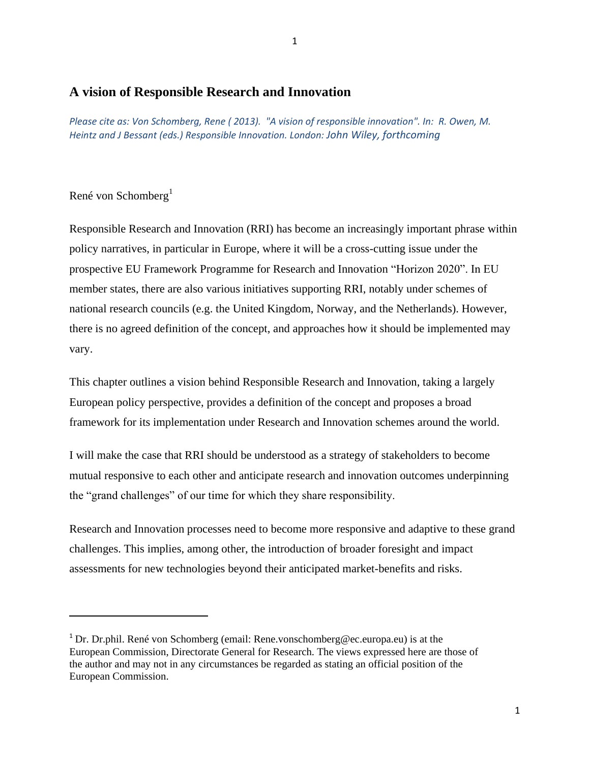# **A vision of Responsible Research and Innovation**

*Please cite as: Von Schomberg, Rene ( 2013). "A vision of responsible innovation". In: R. Owen, M. Heintz and J Bessant (eds.) Responsible Innovation. London: John Wiley, forthcoming*

## René von Schomberg<sup>1</sup>

 $\overline{\phantom{a}}$ 

Responsible Research and Innovation (RRI) has become an increasingly important phrase within policy narratives, in particular in Europe, where it will be a cross-cutting issue under the prospective EU Framework Programme for Research and Innovation "Horizon 2020". In EU member states, there are also various initiatives supporting RRI, notably under schemes of national research councils (e.g. the United Kingdom, Norway, and the Netherlands). However, there is no agreed definition of the concept, and approaches how it should be implemented may vary.

This chapter outlines a vision behind Responsible Research and Innovation, taking a largely European policy perspective, provides a definition of the concept and proposes a broad framework for its implementation under Research and Innovation schemes around the world.

I will make the case that RRI should be understood as a strategy of stakeholders to become mutual responsive to each other and anticipate research and innovation outcomes underpinning the "grand challenges" of our time for which they share responsibility.

Research and Innovation processes need to become more responsive and adaptive to these grand challenges. This implies, among other, the introduction of broader foresight and impact assessments for new technologies beyond their anticipated market-benefits and risks.

<sup>1</sup> Dr. Dr.phil. René von Schomberg (email: Rene.vonschomberg@ec.europa.eu) is at the European Commission, Directorate General for Research. The views expressed here are those of the author and may not in any circumstances be regarded as stating an official position of the European Commission.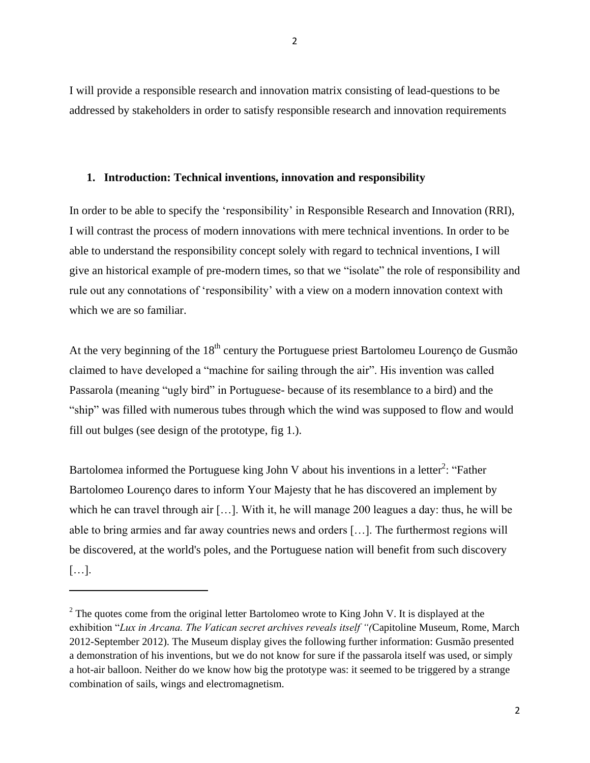I will provide a responsible research and innovation matrix consisting of lead-questions to be addressed by stakeholders in order to satisfy responsible research and innovation requirements

## **1. Introduction: Technical inventions, innovation and responsibility**

In order to be able to specify the 'responsibility' in Responsible Research and Innovation (RRI), I will contrast the process of modern innovations with mere technical inventions. In order to be able to understand the responsibility concept solely with regard to technical inventions, I will give an historical example of pre-modern times, so that we "isolate" the role of responsibility and rule out any connotations of 'responsibility' with a view on a modern innovation context with which we are so familiar.

At the very beginning of the  $18<sup>th</sup>$  century the Portuguese priest Bartolomeu Lourenço de Gusmão claimed to have developed a "machine for sailing through the air". His invention was called Passarola (meaning "ugly bird" in Portuguese- because of its resemblance to a bird) and the "ship" was filled with numerous tubes through which the wind was supposed to flow and would fill out bulges (see design of the prototype, fig 1.).

Bartolomea informed the Portuguese king John V about his inventions in a letter<sup>2</sup>: "Father Bartolomeo Lourenço dares to inform Your Majesty that he has discovered an implement by which he can travel through air […]. With it, he will manage 200 leagues a day: thus, he will be able to bring armies and far away countries news and orders […]. The furthermost regions will be discovered, at the world's poles, and the Portuguese nation will benefit from such discovery […].

 $\overline{\phantom{a}}$ 

 $2$  The quotes come from the original letter Bartolomeo wrote to King John V. It is displayed at the exhibition "*Lux in Arcana. The Vatican secret archives reveals itself "(*Capitoline Museum, Rome, March 2012-September 2012). The Museum display gives the following further information: Gusmão presented a demonstration of his inventions, but we do not know for sure if the passarola itself was used, or simply a hot-air balloon. Neither do we know how big the prototype was: it seemed to be triggered by a strange combination of sails, wings and electromagnetism.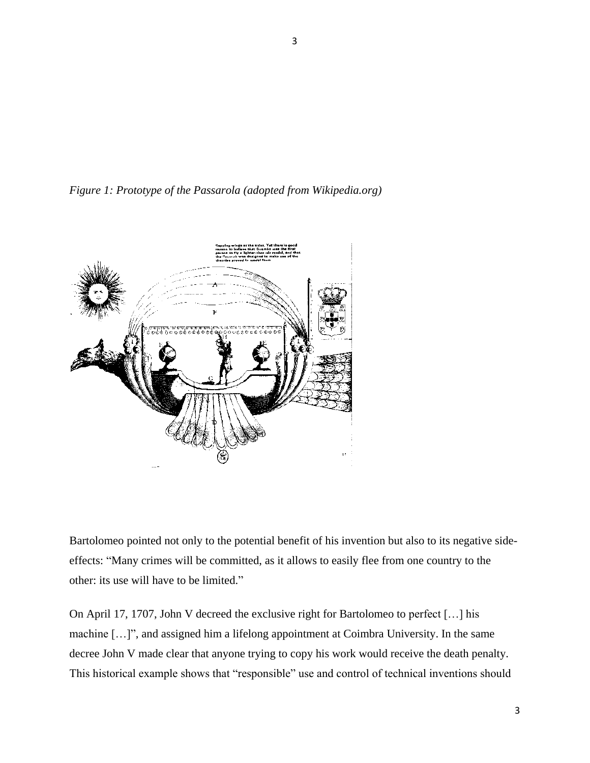*Figure 1: Prototype of the Passarola (adopted from Wikipedia.org)*

3



Bartolomeo pointed not only to the potential benefit of his invention but also to its negative sideeffects: "Many crimes will be committed, as it allows to easily flee from one country to the other: its use will have to be limited."

On April 17, 1707, John V decreed the exclusive right for Bartolomeo to perfect […] his machine […]", and assigned him a lifelong appointment at Coimbra University. In the same decree John V made clear that anyone trying to copy his work would receive the death penalty. This historical example shows that "responsible" use and control of technical inventions should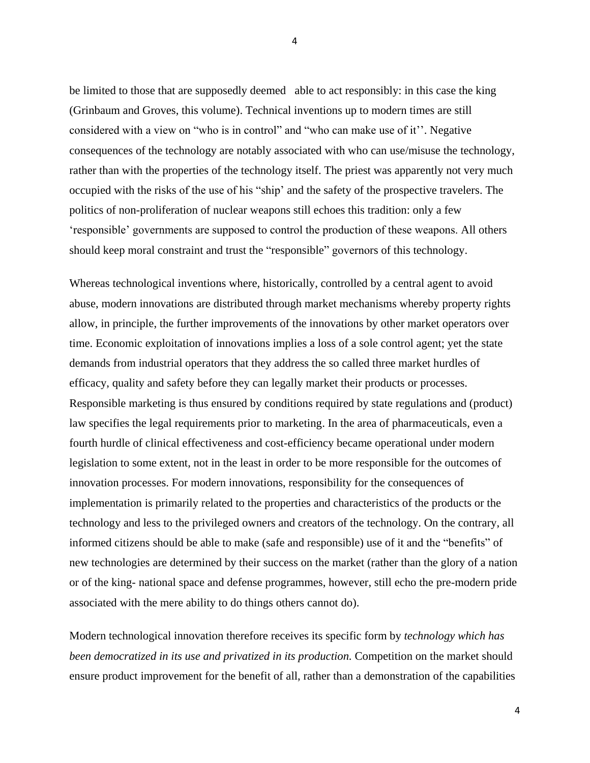be limited to those that are supposedly deemed able to act responsibly: in this case the king (Grinbaum and Groves, this volume). Technical inventions up to modern times are still considered with a view on "who is in control" and "who can make use of it''. Negative consequences of the technology are notably associated with who can use/misuse the technology, rather than with the properties of the technology itself. The priest was apparently not very much occupied with the risks of the use of his "ship' and the safety of the prospective travelers. The politics of non-proliferation of nuclear weapons still echoes this tradition: only a few 'responsible' governments are supposed to control the production of these weapons. All others should keep moral constraint and trust the "responsible" governors of this technology.

Whereas technological inventions where, historically, controlled by a central agent to avoid abuse, modern innovations are distributed through market mechanisms whereby property rights allow, in principle, the further improvements of the innovations by other market operators over time. Economic exploitation of innovations implies a loss of a sole control agent; yet the state demands from industrial operators that they address the so called three market hurdles of efficacy, quality and safety before they can legally market their products or processes. Responsible marketing is thus ensured by conditions required by state regulations and (product) law specifies the legal requirements prior to marketing. In the area of pharmaceuticals, even a fourth hurdle of clinical effectiveness and cost-efficiency became operational under modern legislation to some extent, not in the least in order to be more responsible for the outcomes of innovation processes. For modern innovations, responsibility for the consequences of implementation is primarily related to the properties and characteristics of the products or the technology and less to the privileged owners and creators of the technology. On the contrary, all informed citizens should be able to make (safe and responsible) use of it and the "benefits" of new technologies are determined by their success on the market (rather than the glory of a nation or of the king- national space and defense programmes, however, still echo the pre-modern pride associated with the mere ability to do things others cannot do).

Modern technological innovation therefore receives its specific form by *technology which has been democratized in its use and privatized in its production.* Competition on the market should ensure product improvement for the benefit of all, rather than a demonstration of the capabilities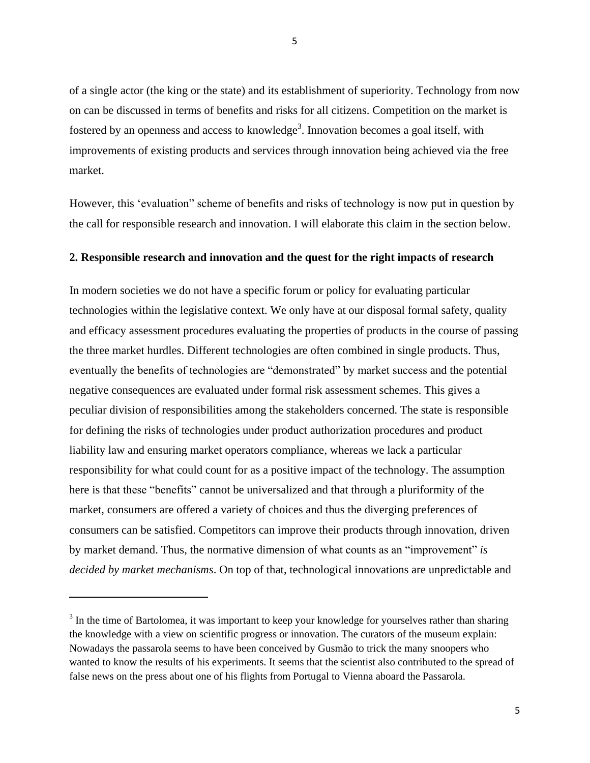of a single actor (the king or the state) and its establishment of superiority. Technology from now on can be discussed in terms of benefits and risks for all citizens. Competition on the market is fostered by an openness and access to knowledge<sup>3</sup>. Innovation becomes a goal itself, with improvements of existing products and services through innovation being achieved via the free market.

However, this 'evaluation" scheme of benefits and risks of technology is now put in question by the call for responsible research and innovation. I will elaborate this claim in the section below.

## **2. Responsible research and innovation and the quest for the right impacts of research**

In modern societies we do not have a specific forum or policy for evaluating particular technologies within the legislative context. We only have at our disposal formal safety, quality and efficacy assessment procedures evaluating the properties of products in the course of passing the three market hurdles. Different technologies are often combined in single products. Thus, eventually the benefits of technologies are "demonstrated" by market success and the potential negative consequences are evaluated under formal risk assessment schemes. This gives a peculiar division of responsibilities among the stakeholders concerned. The state is responsible for defining the risks of technologies under product authorization procedures and product liability law and ensuring market operators compliance, whereas we lack a particular responsibility for what could count for as a positive impact of the technology. The assumption here is that these "benefits" cannot be universalized and that through a pluriformity of the market, consumers are offered a variety of choices and thus the diverging preferences of consumers can be satisfied. Competitors can improve their products through innovation, driven by market demand. Thus, the normative dimension of what counts as an "improvement" *is decided by market mechanisms*. On top of that, technological innovations are unpredictable and

 $\overline{\phantom{a}}$ 

 $3$  In the time of Bartolomea, it was important to keep your knowledge for yourselves rather than sharing the knowledge with a view on scientific progress or innovation. The curators of the museum explain: Nowadays the passarola seems to have been conceived by Gusmão to trick the many snoopers who wanted to know the results of his experiments. It seems that the scientist also contributed to the spread of false news on the press about one of his flights from Portugal to Vienna aboard the Passarola.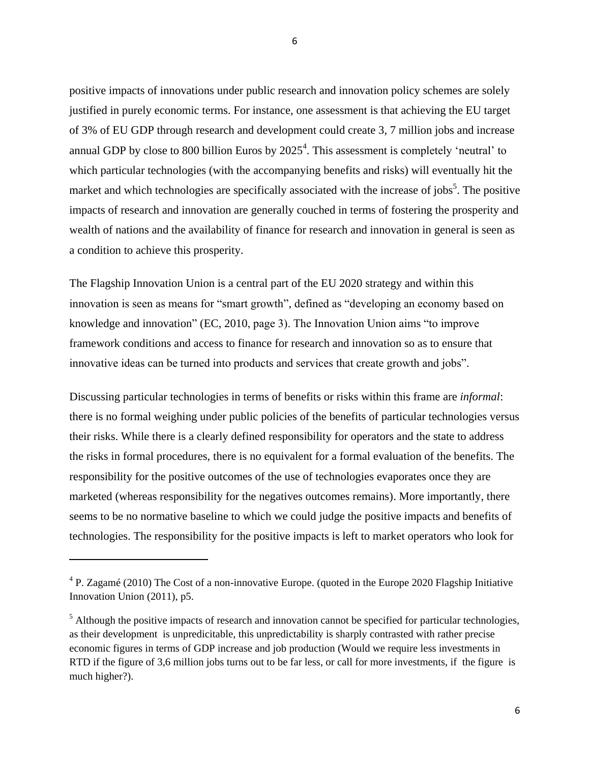positive impacts of innovations under public research and innovation policy schemes are solely justified in purely economic terms. For instance, one assessment is that achieving the EU target of 3% of EU GDP through research and development could create 3, 7 million jobs and increase annual GDP by close to 800 billion Euros by  $2025^4$ . This assessment is completely 'neutral' to which particular technologies (with the accompanying benefits and risks) will eventually hit the market and which technologies are specifically associated with the increase of jobs<sup>5</sup>. The positive impacts of research and innovation are generally couched in terms of fostering the prosperity and wealth of nations and the availability of finance for research and innovation in general is seen as a condition to achieve this prosperity.

The Flagship Innovation Union is a central part of the EU 2020 strategy and within this innovation is seen as means for "smart growth", defined as "developing an economy based on knowledge and innovation" (EC, 2010, page 3). The Innovation Union aims "to improve framework conditions and access to finance for research and innovation so as to ensure that innovative ideas can be turned into products and services that create growth and jobs".

Discussing particular technologies in terms of benefits or risks within this frame are *informal*: there is no formal weighing under public policies of the benefits of particular technologies versus their risks. While there is a clearly defined responsibility for operators and the state to address the risks in formal procedures, there is no equivalent for a formal evaluation of the benefits. The responsibility for the positive outcomes of the use of technologies evaporates once they are marketed (whereas responsibility for the negatives outcomes remains). More importantly, there seems to be no normative baseline to which we could judge the positive impacts and benefits of technologies. The responsibility for the positive impacts is left to market operators who look for

 $\overline{\phantom{a}}$ 

<sup>&</sup>lt;sup>4</sup> P. Zagamé (2010) The Cost of a non-innovative Europe. (quoted in the Europe 2020 Flagship Initiative Innovation Union (2011), p5.

 $<sup>5</sup>$  Although the positive impacts of research and innovation cannot be specified for particular technologies,</sup> as their development is unpredicitable, this unpredictability is sharply contrasted with rather precise economic figures in terms of GDP increase and job production (Would we require less investments in RTD if the figure of 3,6 million jobs turns out to be far less, or call for more investments, if the figure is much higher?).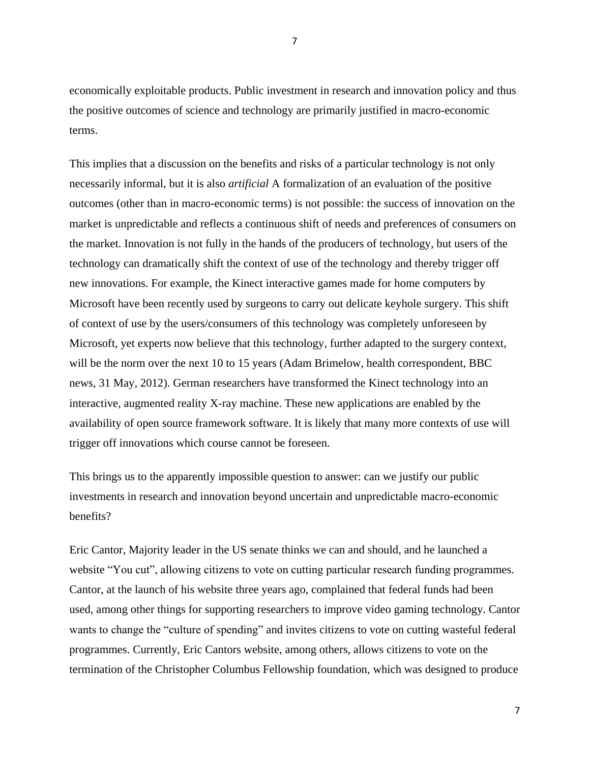economically exploitable products. Public investment in research and innovation policy and thus the positive outcomes of science and technology are primarily justified in macro-economic terms.

This implies that a discussion on the benefits and risks of a particular technology is not only necessarily informal, but it is also *artificial* A formalization of an evaluation of the positive outcomes (other than in macro-economic terms) is not possible: the success of innovation on the market is unpredictable and reflects a continuous shift of needs and preferences of consumers on the market. Innovation is not fully in the hands of the producers of technology, but users of the technology can dramatically shift the context of use of the technology and thereby trigger off new innovations. For example, the Kinect interactive games made for home computers by Microsoft have been recently used by surgeons to carry out delicate keyhole surgery. This shift of context of use by the users/consumers of this technology was completely unforeseen by Microsoft, yet experts now believe that this technology, further adapted to the surgery context, will be the norm over the next 10 to 15 years (Adam Brimelow, health correspondent, BBC news, 31 May, 2012). German researchers have transformed the Kinect technology into an interactive, augmented reality X-ray machine. These new applications are enabled by the availability of open source framework software. It is likely that many more contexts of use will trigger off innovations which course cannot be foreseen.

This brings us to the apparently impossible question to answer: can we justify our public investments in research and innovation beyond uncertain and unpredictable macro-economic benefits?

Eric Cantor, Majority leader in the US senate thinks we can and should, and he launched a website "You cut", allowing citizens to vote on cutting particular research funding programmes. Cantor, at the launch of his website three years ago, complained that federal funds had been used, among other things for supporting researchers to improve video gaming technology. Cantor wants to change the "culture of spending" and invites citizens to vote on cutting wasteful federal programmes. Currently, Eric Cantors website, among others, allows citizens to vote on the termination of the Christopher Columbus Fellowship foundation, which was designed to produce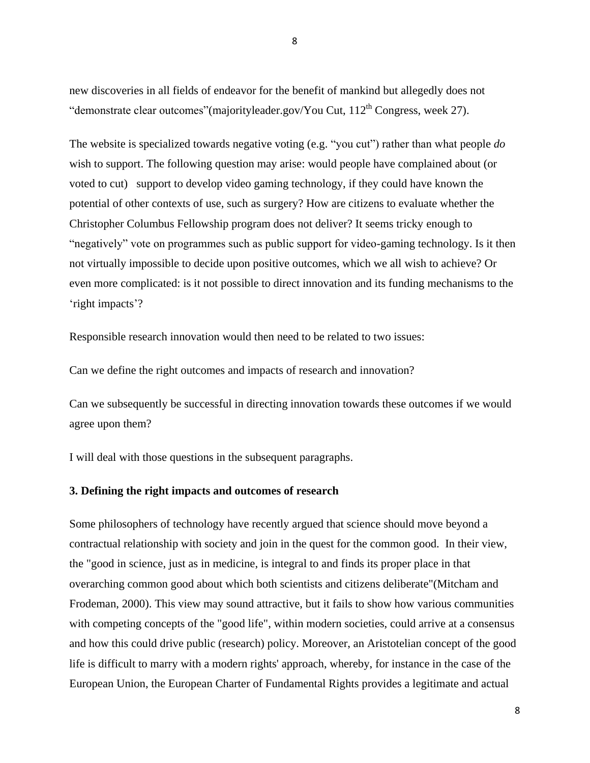new discoveries in all fields of endeavor for the benefit of mankind but allegedly does not "demonstrate clear outcomes" (majorityleader.gov/You Cut,  $112<sup>th</sup>$  Congress, week 27).

The website is specialized towards negative voting (e.g. "you cut") rather than what people *do* wish to support. The following question may arise: would people have complained about (or voted to cut) support to develop video gaming technology, if they could have known the potential of other contexts of use, such as surgery? How are citizens to evaluate whether the Christopher Columbus Fellowship program does not deliver? It seems tricky enough to "negatively" vote on programmes such as public support for video-gaming technology. Is it then not virtually impossible to decide upon positive outcomes, which we all wish to achieve? Or even more complicated: is it not possible to direct innovation and its funding mechanisms to the 'right impacts'?

Responsible research innovation would then need to be related to two issues:

Can we define the right outcomes and impacts of research and innovation?

Can we subsequently be successful in directing innovation towards these outcomes if we would agree upon them?

I will deal with those questions in the subsequent paragraphs.

## **3. Defining the right impacts and outcomes of research**

Some philosophers of technology have recently argued that science should move beyond a contractual relationship with society and join in the quest for the common good. In their view, the "good in science, just as in medicine, is integral to and finds its proper place in that overarching common good about which both scientists and citizens deliberate"(Mitcham and Frodeman, 2000). This view may sound attractive, but it fails to show how various communities with competing concepts of the "good life", within modern societies, could arrive at a consensus and how this could drive public (research) policy. Moreover, an Aristotelian concept of the good life is difficult to marry with a modern rights' approach, whereby, for instance in the case of the European Union, the European Charter of Fundamental Rights provides a legitimate and actual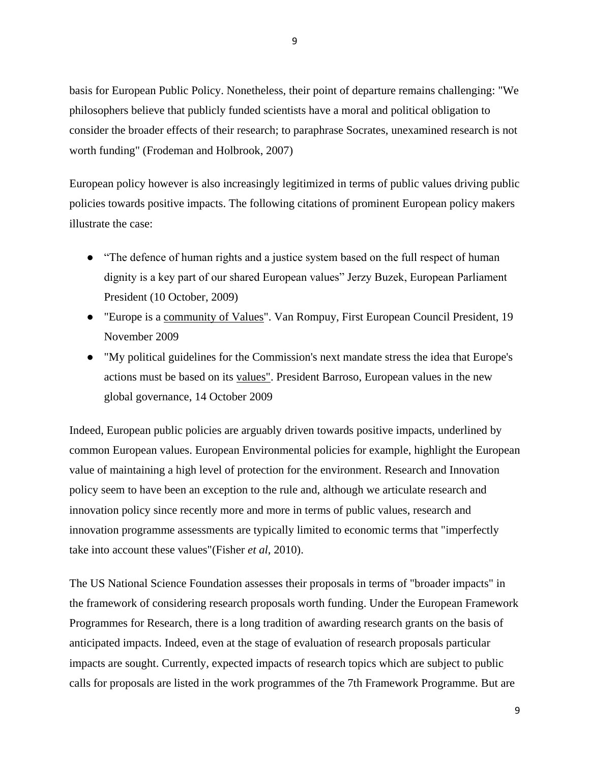basis for European Public Policy. Nonetheless, their point of departure remains challenging: "We philosophers believe that publicly funded scientists have a moral and political obligation to consider the broader effects of their research; to paraphrase Socrates, unexamined research is not worth funding" (Frodeman and Holbrook, 2007)

European policy however is also increasingly legitimized in terms of public values driving public policies towards positive impacts. The following citations of prominent European policy makers illustrate the case:

- "The defence of human rights and a justice system based on the full respect of human dignity is a key part of our shared European values" Jerzy Buzek, European Parliament President (10 October, 2009)
- "Europe is a community of Values". Van Rompuy, First European Council President, 19 November 2009
- "My political guidelines for the Commission's next mandate stress the idea that Europe's actions must be based on its values". President Barroso, European values in the new global governance, 14 October 2009

Indeed, European public policies are arguably driven towards positive impacts, underlined by common European values. European Environmental policies for example, highlight the European value of maintaining a high level of protection for the environment. Research and Innovation policy seem to have been an exception to the rule and, although we articulate research and innovation policy since recently more and more in terms of public values, research and innovation programme assessments are typically limited to economic terms that "imperfectly take into account these values"(Fisher *et al*, 2010).

The US National Science Foundation assesses their proposals in terms of "broader impacts" in the framework of considering research proposals worth funding. Under the European Framework Programmes for Research, there is a long tradition of awarding research grants on the basis of anticipated impacts. Indeed, even at the stage of evaluation of research proposals particular impacts are sought. Currently, expected impacts of research topics which are subject to public calls for proposals are listed in the work programmes of the 7th Framework Programme. But are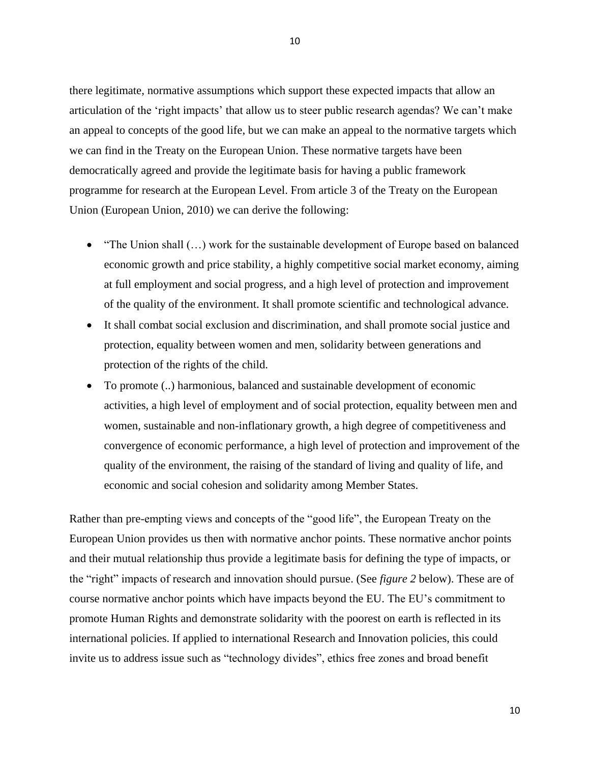there legitimate, normative assumptions which support these expected impacts that allow an articulation of the 'right impacts' that allow us to steer public research agendas? We can't make an appeal to concepts of the good life, but we can make an appeal to the normative targets which we can find in the Treaty on the European Union. These normative targets have been democratically agreed and provide the legitimate basis for having a public framework programme for research at the European Level. From article 3 of the Treaty on the European Union (European Union, 2010) we can derive the following:

- "The Union shall  $(...)$  work for the sustainable development of Europe based on balanced economic growth and price stability, a highly competitive social market economy, aiming at full employment and social progress, and a high level of protection and improvement of the quality of the environment. It shall promote scientific and technological advance.
- It shall combat social exclusion and discrimination, and shall promote social justice and protection, equality between women and men, solidarity between generations and protection of the rights of the child.
- To promote (..) harmonious, balanced and sustainable development of economic activities, a high level of employment and of social protection, equality between men and women, sustainable and non-inflationary growth, a high degree of competitiveness and convergence of economic performance, a high level of protection and improvement of the quality of the environment, the raising of the standard of living and quality of life, and economic and social cohesion and solidarity among Member States.

Rather than pre-empting views and concepts of the "good life", the European Treaty on the European Union provides us then with normative anchor points. These normative anchor points and their mutual relationship thus provide a legitimate basis for defining the type of impacts, or the "right" impacts of research and innovation should pursue. (See *figure 2* below). These are of course normative anchor points which have impacts beyond the EU. The EU's commitment to promote Human Rights and demonstrate solidarity with the poorest on earth is reflected in its international policies. If applied to international Research and Innovation policies, this could invite us to address issue such as "technology divides", ethics free zones and broad benefit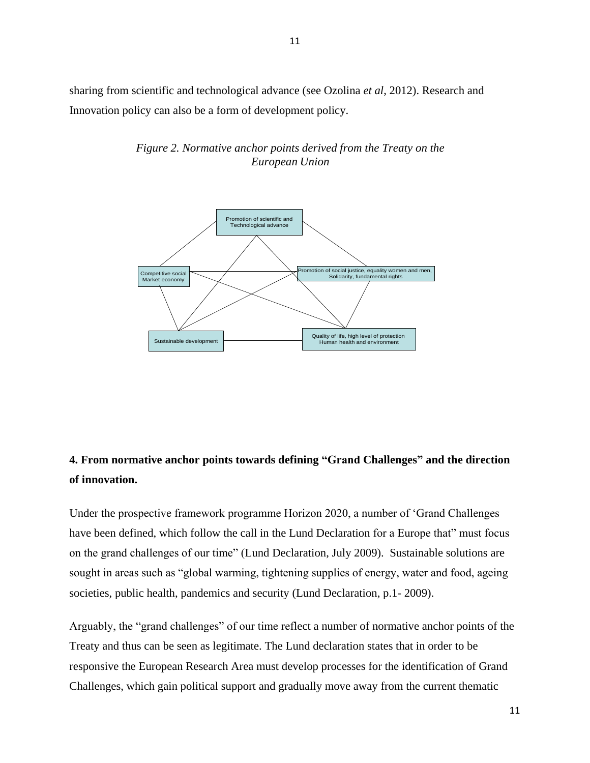sharing from scientific and technological advance (see Ozolina *et al*, 2012). Research and Innovation policy can also be a form of development policy.



## *Figure 2. Normative anchor points derived from the Treaty on the European Union*

# **4. From normative anchor points towards defining "Grand Challenges" and the direction of innovation.**

Under the prospective framework programme Horizon 2020, a number of 'Grand Challenges have been defined, which follow the call in the Lund Declaration for a Europe that" must focus on the grand challenges of our time" (Lund Declaration, July 2009). Sustainable solutions are sought in areas such as "global warming, tightening supplies of energy, water and food, ageing societies, public health, pandemics and security (Lund Declaration, p.1- 2009).

Arguably, the "grand challenges" of our time reflect a number of normative anchor points of the Treaty and thus can be seen as legitimate. The Lund declaration states that in order to be responsive the European Research Area must develop processes for the identification of Grand Challenges, which gain political support and gradually move away from the current thematic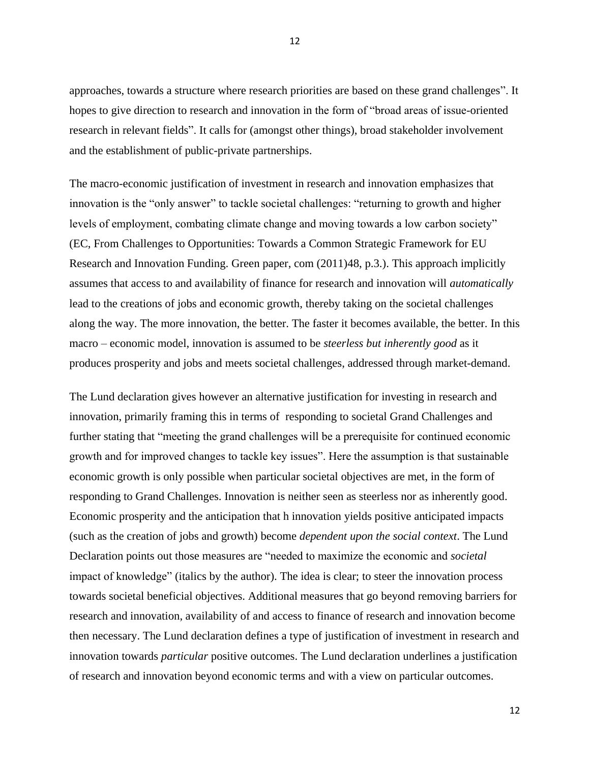approaches, towards a structure where research priorities are based on these grand challenges". It hopes to give direction to research and innovation in the form of "broad areas of issue-oriented research in relevant fields". It calls for (amongst other things), broad stakeholder involvement and the establishment of public-private partnerships.

The macro-economic justification of investment in research and innovation emphasizes that innovation is the "only answer" to tackle societal challenges: "returning to growth and higher levels of employment, combating climate change and moving towards a low carbon society" (EC, From Challenges to Opportunities: Towards a Common Strategic Framework for EU Research and Innovation Funding. Green paper, com (2011)48, p.3.). This approach implicitly assumes that access to and availability of finance for research and innovation will *automatically* lead to the creations of jobs and economic growth, thereby taking on the societal challenges along the way. The more innovation, the better. The faster it becomes available, the better. In this macro – economic model, innovation is assumed to be *steerless but inherently good* as it produces prosperity and jobs and meets societal challenges, addressed through market-demand.

The Lund declaration gives however an alternative justification for investing in research and innovation, primarily framing this in terms of responding to societal Grand Challenges and further stating that "meeting the grand challenges will be a prerequisite for continued economic growth and for improved changes to tackle key issues". Here the assumption is that sustainable economic growth is only possible when particular societal objectives are met, in the form of responding to Grand Challenges. Innovation is neither seen as steerless nor as inherently good. Economic prosperity and the anticipation that h innovation yields positive anticipated impacts (such as the creation of jobs and growth) become *dependent upon the social context*. The Lund Declaration points out those measures are "needed to maximize the economic and *societal* impact of knowledge" (italics by the author). The idea is clear; to steer the innovation process towards societal beneficial objectives. Additional measures that go beyond removing barriers for research and innovation, availability of and access to finance of research and innovation become then necessary. The Lund declaration defines a type of justification of investment in research and innovation towards *particular* positive outcomes. The Lund declaration underlines a justification of research and innovation beyond economic terms and with a view on particular outcomes.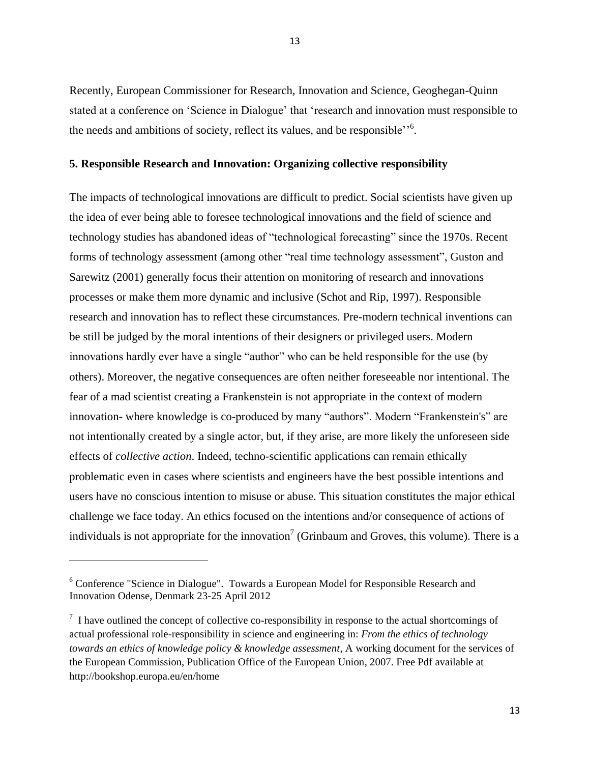Recently, European Commissioner for Research, Innovation and Science, Geoghegan-Quinn stated at a conference on 'Science in Dialogue' that 'research and innovation must responsible to the needs and ambitions of society, reflect its values, and be responsible<sup> $\cdot$ 6</sup>.

13

## **5. Responsible Research and Innovation: Organizing collective responsibility**

The impacts of technological innovations are difficult to predict. Social scientists have given up the idea of ever being able to foresee technological innovations and the field of science and technology studies has abandoned ideas of "technological forecasting" since the 1970s. Recent forms of technology assessment (among other "real time technology assessment", Guston and Sarewitz (2001) generally focus their attention on monitoring of research and innovations processes or make them more dynamic and inclusive (Schot and Rip, 1997). Responsible research and innovation has to reflect these circumstances. Pre-modern technical inventions can be still be judged by the moral intentions of their designers or privileged users. Modern innovations hardly ever have a single "author" who can be held responsible for the use (by others). Moreover, the negative consequences are often neither foreseeable nor intentional. The fear of a mad scientist creating a Frankenstein is not appropriate in the context of modern innovation- where knowledge is co-produced by many "authors". Modern "Frankenstein's" are not intentionally created by a single actor, but, if they arise, are more likely the unforeseen side effects of *collective action*. Indeed, techno-scientific applications can remain ethically problematic even in cases where scientists and engineers have the best possible intentions and users have no conscious intention to misuse or abuse. This situation constitutes the major ethical challenge we face today. An ethics focused on the intentions and/or consequence of actions of individuals is not appropriate for the innovation<sup>7</sup> (Grinbaum and Groves, this volume). There is a

 $\overline{\phantom{a}}$ 

<sup>6</sup> Conference "Science in Dialogue". Towards a European Model for Responsible Research and Innovation Odense, Denmark 23-25 April 2012

 $<sup>7</sup>$  I have outlined the concept of collective co-responsibility in response to the actual shortcomings of</sup> actual professional role-responsibility in science and engineering in: *[From the ethics of technology](http://scholar.google.be/citations?view_op=view_citation&hl=en&user=drx-XwQAAAAJ&citation_for_view=drx-XwQAAAAJ:2osOgNQ5qMEC)  [towards an ethics of knowledge policy & knowledge assessment](http://scholar.google.be/citations?view_op=view_citation&hl=en&user=drx-XwQAAAAJ&citation_for_view=drx-XwQAAAAJ:2osOgNQ5qMEC)*, A working document for the services of the European Commission, Publication Office of the European Union, 2007. Free Pdf available at http://bookshop.europa.eu/en/home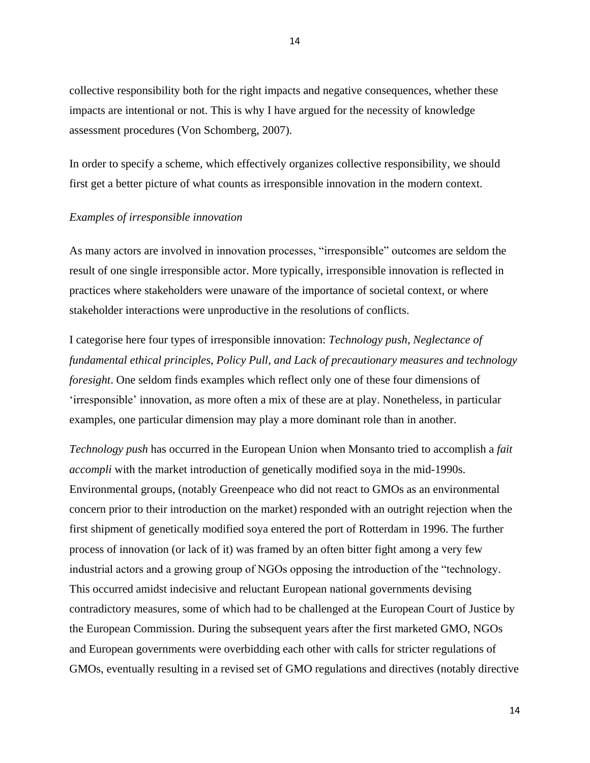collective responsibility both for the right impacts and negative consequences, whether these impacts are intentional or not. This is why I have argued for the necessity of knowledge assessment procedures (Von Schomberg, 2007).

In order to specify a scheme, which effectively organizes collective responsibility, we should first get a better picture of what counts as irresponsible innovation in the modern context.

## *Examples of irresponsible innovation*

As many actors are involved in innovation processes, "irresponsible" outcomes are seldom the result of one single irresponsible actor. More typically, irresponsible innovation is reflected in practices where stakeholders were unaware of the importance of societal context, or where stakeholder interactions were unproductive in the resolutions of conflicts.

I categorise here four types of irresponsible innovation: *Technology push, Neglectance of fundamental ethical principles, Policy Pull, and Lack of precautionary measures and technology foresight*. One seldom finds examples which reflect only one of these four dimensions of 'irresponsible' innovation, as more often a mix of these are at play. Nonetheless, in particular examples, one particular dimension may play a more dominant role than in another.

*Technology push* has occurred in the European Union when Monsanto tried to accomplish a *fait accompli* with the market introduction of genetically modified soya in the mid-1990s. Environmental groups, (notably Greenpeace who did not react to GMOs as an environmental concern prior to their introduction on the market) responded with an outright rejection when the first shipment of genetically modified soya entered the port of Rotterdam in 1996. The further process of innovation (or lack of it) was framed by an often bitter fight among a very few industrial actors and a growing group of NGOs opposing the introduction of the "technology. This occurred amidst indecisive and reluctant European national governments devising contradictory measures, some of which had to be challenged at the European Court of Justice by the European Commission. During the subsequent years after the first marketed GMO, NGOs and European governments were overbidding each other with calls for stricter regulations of GMOs, eventually resulting in a revised set of GMO regulations and directives (notably directive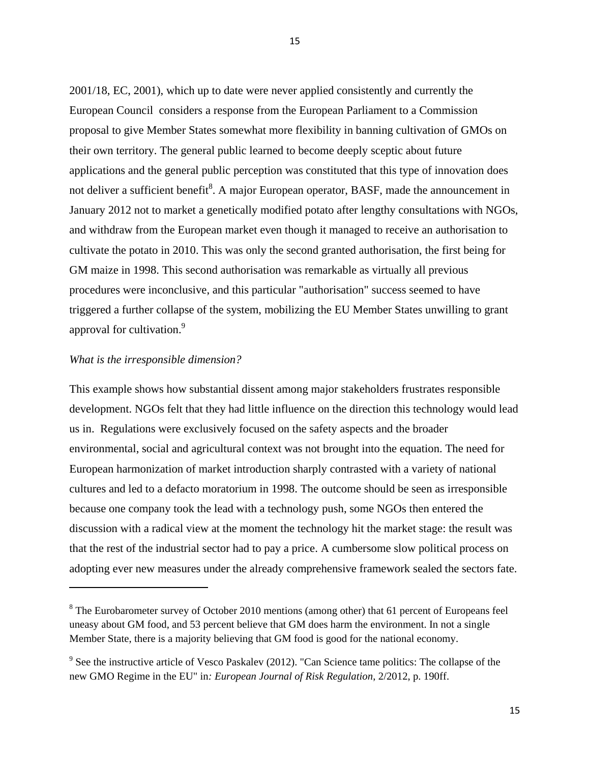2001/18, EC, 2001), which up to date were never applied consistently and currently the European Council considers a response from the European Parliament to a Commission proposal to give Member States somewhat more flexibility in banning cultivation of GMOs on their own territory. The general public learned to become deeply sceptic about future applications and the general public perception was constituted that this type of innovation does not deliver a sufficient benefit<sup>8</sup>. A major European operator, BASF, made the announcement in January 2012 not to market a genetically modified potato after lengthy consultations with NGOs, and withdraw from the European market even though it managed to receive an authorisation to cultivate the potato in 2010. This was only the second granted authorisation, the first being for GM maize in 1998. This second authorisation was remarkable as virtually all previous procedures were inconclusive, and this particular "authorisation" success seemed to have triggered a further collapse of the system, mobilizing the EU Member States unwilling to grant approval for cultivation.<sup>9</sup>

### *What is the irresponsible dimension?*

 $\overline{a}$ 

This example shows how substantial dissent among major stakeholders frustrates responsible development. NGOs felt that they had little influence on the direction this technology would lead us in. Regulations were exclusively focused on the safety aspects and the broader environmental, social and agricultural context was not brought into the equation. The need for European harmonization of market introduction sharply contrasted with a variety of national cultures and led to a defacto moratorium in 1998. The outcome should be seen as irresponsible because one company took the lead with a technology push, some NGOs then entered the discussion with a radical view at the moment the technology hit the market stage: the result was that the rest of the industrial sector had to pay a price. A cumbersome slow political process on adopting ever new measures under the already comprehensive framework sealed the sectors fate.

<sup>&</sup>lt;sup>8</sup> The Eurobarometer survey of October 2010 mentions (among other) that 61 percent of Europeans feel uneasy about GM food, and 53 percent believe that GM does harm the environment. In not a single Member State, there is a majority believing that GM food is good for the national economy.

<sup>&</sup>lt;sup>9</sup> See the instructive article of Vesco Paskalev (2012). "Can Science tame politics: The collapse of the new GMO Regime in the EU" in*: European Journal of Risk Regulation*, 2/2012, p. 190ff.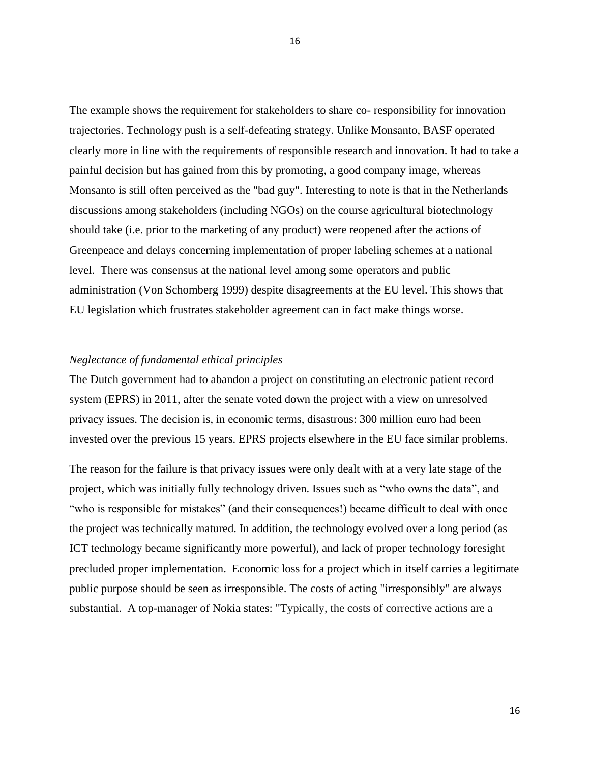The example shows the requirement for stakeholders to share co- responsibility for innovation trajectories. Technology push is a self-defeating strategy. Unlike Monsanto, BASF operated clearly more in line with the requirements of responsible research and innovation. It had to take a painful decision but has gained from this by promoting, a good company image, whereas Monsanto is still often perceived as the "bad guy". Interesting to note is that in the Netherlands discussions among stakeholders (including NGOs) on the course agricultural biotechnology should take (i.e. prior to the marketing of any product) were reopened after the actions of Greenpeace and delays concerning implementation of proper labeling schemes at a national level. There was consensus at the national level among some operators and public administration (Von Schomberg 1999) despite disagreements at the EU level. This shows that EU legislation which frustrates stakeholder agreement can in fact make things worse.

## *Neglectance of fundamental ethical principles*

The Dutch government had to abandon a project on constituting an electronic patient record system (EPRS) in 2011, after the senate voted down the project with a view on unresolved privacy issues. The decision is, in economic terms, disastrous: 300 million euro had been invested over the previous 15 years. EPRS projects elsewhere in the EU face similar problems.

The reason for the failure is that privacy issues were only dealt with at a very late stage of the project, which was initially fully technology driven. Issues such as "who owns the data", and "who is responsible for mistakes" (and their consequences!) became difficult to deal with once the project was technically matured. In addition, the technology evolved over a long period (as ICT technology became significantly more powerful), and lack of proper technology foresight precluded proper implementation. Economic loss for a project which in itself carries a legitimate public purpose should be seen as irresponsible. The costs of acting "irresponsibly" are always substantial. A top-manager of Nokia states: "Typically, the costs of corrective actions are a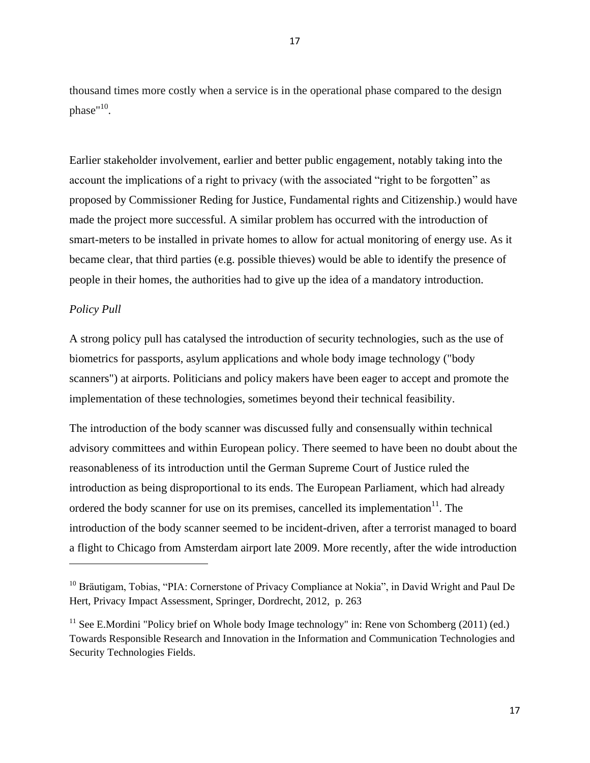thousand times more costly when a service is in the operational phase compared to the design phase"<sup>10</sup>.

Earlier stakeholder involvement, earlier and better public engagement, notably taking into the account the implications of a right to privacy (with the associated "right to be forgotten" as proposed by Commissioner Reding for Justice, Fundamental rights and Citizenship.) would have made the project more successful. A similar problem has occurred with the introduction of smart-meters to be installed in private homes to allow for actual monitoring of energy use. As it became clear, that third parties (e.g. possible thieves) would be able to identify the presence of people in their homes, the authorities had to give up the idea of a mandatory introduction.

## *Policy Pull*

 $\overline{\phantom{a}}$ 

A strong policy pull has catalysed the introduction of security technologies, such as the use of biometrics for passports, asylum applications and whole body image technology ("body scanners") at airports. Politicians and policy makers have been eager to accept and promote the implementation of these technologies, sometimes beyond their technical feasibility.

The introduction of the body scanner was discussed fully and consensually within technical advisory committees and within European policy. There seemed to have been no doubt about the reasonableness of its introduction until the German Supreme Court of Justice ruled the introduction as being disproportional to its ends. The European Parliament, which had already ordered the body scanner for use on its premises, cancelled its implementation $11$ . The introduction of the body scanner seemed to be incident-driven, after a terrorist managed to board a flight to Chicago from Amsterdam airport late 2009. More recently, after the wide introduction

<sup>&</sup>lt;sup>10</sup> Bräutigam, Tobias, "PIA: Cornerstone of Privacy Compliance at Nokia", in David Wright and Paul De Hert, Privacy Impact Assessment, Springer, Dordrecht, 2012, p. 263

<sup>&</sup>lt;sup>11</sup> See E.Mordini "Policy brief on Whole body Image technology" in: Rene von Schomberg  $(2011)$  (ed.) [Towards Responsible Research and Innovation in the Information and Communication Technologies and](http://scholar.google.com/scholar?cluster=15893146409445274068&hl=en&oi=scholarr)  [Security Technologies](http://scholar.google.com/scholar?cluster=15893146409445274068&hl=en&oi=scholarr) Fields.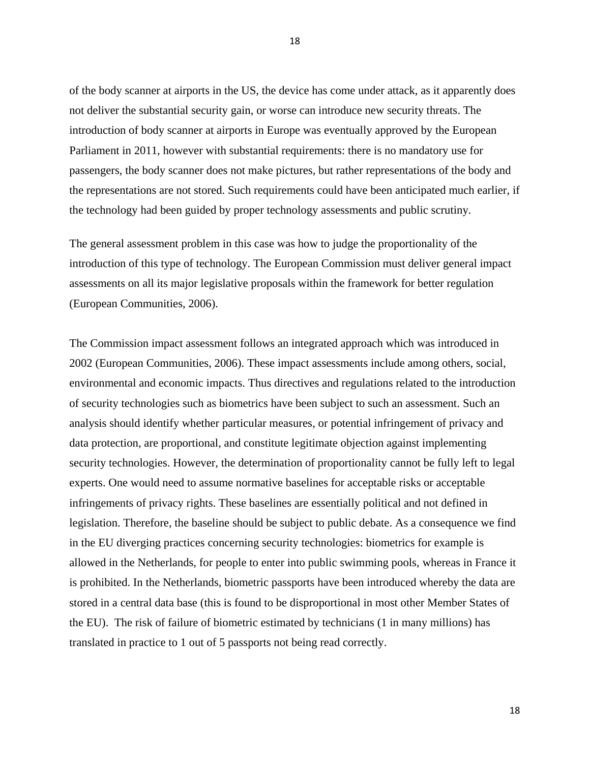of the body scanner at airports in the US, the device has come under attack, as it apparently does not deliver the substantial security gain, or worse can introduce new security threats. The introduction of body scanner at airports in Europe was eventually approved by the European Parliament in 2011, however with substantial requirements: there is no mandatory use for passengers, the body scanner does not make pictures, but rather representations of the body and the representations are not stored. Such requirements could have been anticipated much earlier, if the technology had been guided by proper technology assessments and public scrutiny.

The general assessment problem in this case was how to judge the proportionality of the introduction of this type of technology. The European Commission must deliver general impact assessments on all its major legislative proposals within the framework for better regulation (European Communities, 2006).

The Commission impact assessment follows an integrated approach which was introduced in 2002 (European Communities, 2006). These impact assessments include among others, social, environmental and economic impacts. Thus directives and regulations related to the introduction of security technologies such as biometrics have been subject to such an assessment. Such an analysis should identify whether particular measures, or potential infringement of privacy and data protection, are proportional, and constitute legitimate objection against implementing security technologies. However, the determination of proportionality cannot be fully left to legal experts. One would need to assume normative baselines for acceptable risks or acceptable infringements of privacy rights. These baselines are essentially political and not defined in legislation. Therefore, the baseline should be subject to public debate. As a consequence we find in the EU diverging practices concerning security technologies: biometrics for example is allowed in the Netherlands, for people to enter into public swimming pools, whereas in France it is prohibited. In the Netherlands, biometric passports have been introduced whereby the data are stored in a central data base (this is found to be disproportional in most other Member States of the EU). The risk of failure of biometric estimated by technicians (1 in many millions) has translated in practice to 1 out of 5 passports not being read correctly.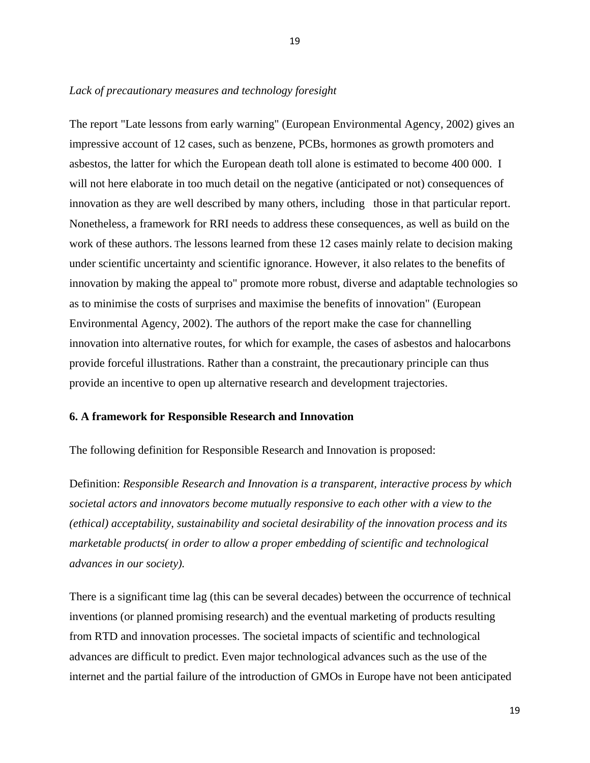## *Lack of precautionary measures and technology foresight*

The report "Late lessons from early warning" (European Environmental Agency, 2002) gives an impressive account of 12 cases, such as benzene, PCBs, hormones as growth promoters and asbestos, the latter for which the European death toll alone is estimated to become 400 000. I will not here elaborate in too much detail on the negative (anticipated or not) consequences of innovation as they are well described by many others, including those in that particular report. Nonetheless, a framework for RRI needs to address these consequences, as well as build on the work of these authors. The lessons learned from these 12 cases mainly relate to decision making under scientific uncertainty and scientific ignorance. However, it also relates to the benefits of innovation by making the appeal to" promote more robust, diverse and adaptable technologies so as to minimise the costs of surprises and maximise the benefits of innovation" (European Environmental Agency, 2002). The authors of the report make the case for channelling innovation into alternative routes, for which for example, the cases of asbestos and halocarbons provide forceful illustrations. Rather than a constraint, the precautionary principle can thus provide an incentive to open up alternative research and development trajectories.

#### **6. A framework for Responsible Research and Innovation**

The following definition for Responsible Research and Innovation is proposed:

Definition: *Responsible Research and Innovation is a transparent, interactive process by which societal actors and innovators become mutually responsive to each other with a view to the (ethical) acceptability, sustainability and societal desirability of the innovation process and its marketable products( in order to allow a proper embedding of scientific and technological advances in our society).*

There is a significant time lag (this can be several decades) between the occurrence of technical inventions (or planned promising research) and the eventual marketing of products resulting from RTD and innovation processes. The societal impacts of scientific and technological advances are difficult to predict. Even major technological advances such as the use of the internet and the partial failure of the introduction of GMOs in Europe have not been anticipated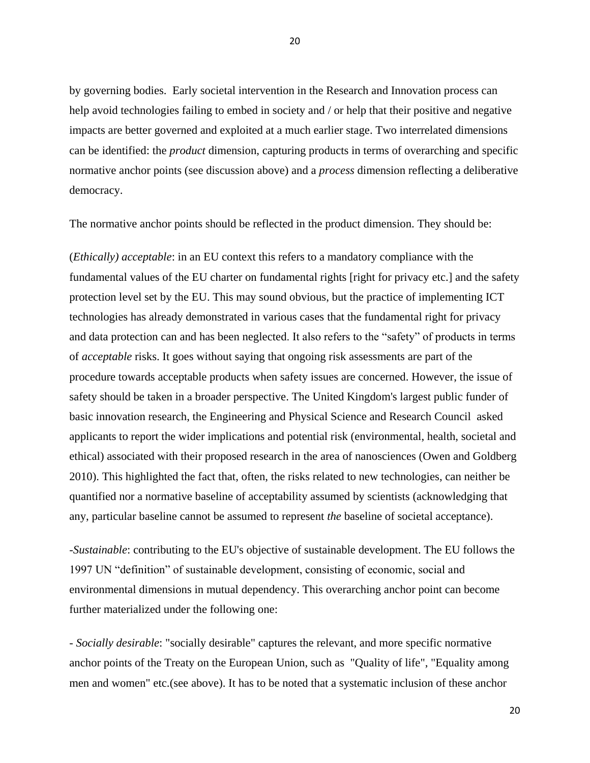by governing bodies. Early societal intervention in the Research and Innovation process can help avoid technologies failing to embed in society and / or help that their positive and negative impacts are better governed and exploited at a much earlier stage. Two interrelated dimensions can be identified: the *product* dimension, capturing products in terms of overarching and specific normative anchor points (see discussion above) and a *process* dimension reflecting a deliberative democracy.

The normative anchor points should be reflected in the product dimension. They should be:

(*Ethically) acceptable*: in an EU context this refers to a mandatory compliance with the fundamental values of the EU charter on fundamental rights [right for privacy etc.] and the safety protection level set by the EU. This may sound obvious, but the practice of implementing ICT technologies has already demonstrated in various cases that the fundamental right for privacy and data protection can and has been neglected. It also refers to the "safety" of products in terms of *acceptable* risks. It goes without saying that ongoing risk assessments are part of the procedure towards acceptable products when safety issues are concerned. However, the issue of safety should be taken in a broader perspective. The United Kingdom's largest public funder of basic innovation research, the Engineering and Physical Science and Research Council asked applicants to report the wider implications and potential risk (environmental, health, societal and ethical) associated with their proposed research in the area of nanosciences (Owen and Goldberg 2010). This highlighted the fact that, often, the risks related to new technologies, can neither be quantified nor a normative baseline of acceptability assumed by scientists (acknowledging that any, particular baseline cannot be assumed to represent *the* baseline of societal acceptance).

-*Sustainable*: contributing to the EU's objective of sustainable development. The EU follows the 1997 UN "definition" of sustainable development, consisting of economic, social and environmental dimensions in mutual dependency. This overarching anchor point can become further materialized under the following one:

- *Socially desirable*: "socially desirable" captures the relevant, and more specific normative anchor points of the Treaty on the European Union, such as "Quality of life", "Equality among men and women" etc.(see above). It has to be noted that a systematic inclusion of these anchor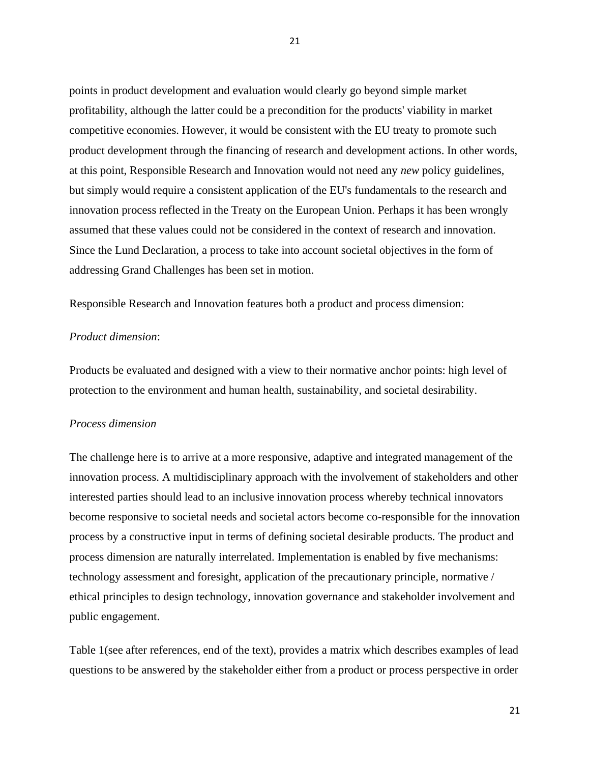points in product development and evaluation would clearly go beyond simple market profitability, although the latter could be a precondition for the products' viability in market competitive economies. However, it would be consistent with the EU treaty to promote such product development through the financing of research and development actions. In other words, at this point, Responsible Research and Innovation would not need any *new* policy guidelines, but simply would require a consistent application of the EU's fundamentals to the research and innovation process reflected in the Treaty on the European Union. Perhaps it has been wrongly assumed that these values could not be considered in the context of research and innovation. Since the Lund Declaration, a process to take into account societal objectives in the form of addressing Grand Challenges has been set in motion.

Responsible Research and Innovation features both a product and process dimension:

#### *Product dimension*:

Products be evaluated and designed with a view to their normative anchor points: high level of protection to the environment and human health, sustainability, and societal desirability.

#### *Process dimension*

The challenge here is to arrive at a more responsive, adaptive and integrated management of the innovation process. A multidisciplinary approach with the involvement of stakeholders and other interested parties should lead to an inclusive innovation process whereby technical innovators become responsive to societal needs and societal actors become co-responsible for the innovation process by a constructive input in terms of defining societal desirable products. The product and process dimension are naturally interrelated. Implementation is enabled by five mechanisms: technology assessment and foresight, application of the precautionary principle, normative / ethical principles to design technology, innovation governance and stakeholder involvement and public engagement.

Table 1(see after references, end of the text), provides a matrix which describes examples of lead questions to be answered by the stakeholder either from a product or process perspective in order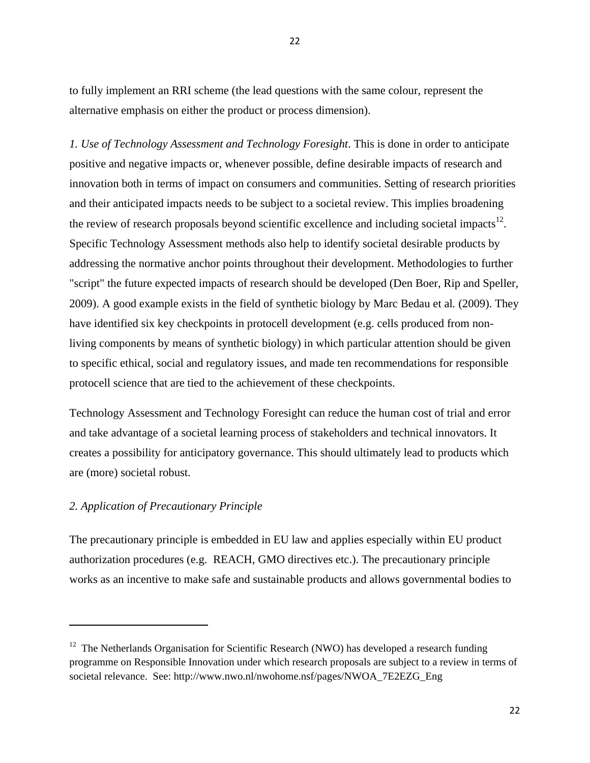to fully implement an RRI scheme (the lead questions with the same colour, represent the alternative emphasis on either the product or process dimension).

*1. Use of Technology Assessment and Technology Foresight*. This is done in order to anticipate positive and negative impacts or, whenever possible, define desirable impacts of research and innovation both in terms of impact on consumers and communities. Setting of research priorities and their anticipated impacts needs to be subject to a societal review. This implies broadening the review of research proposals beyond scientific excellence and including societal impacts<sup>12</sup>. Specific Technology Assessment methods also help to identify societal desirable products by addressing the normative anchor points throughout their development. Methodologies to further "script" the future expected impacts of research should be developed (Den Boer, Rip and Speller, 2009). A good example exists in the field of synthetic biology by Marc Bedau et al*.* (2009). They have identified six key checkpoints in protocell development (e.g. cells produced from nonliving components by means of synthetic biology) in which particular attention should be given to specific ethical, social and regulatory issues, and made ten recommendations for responsible protocell science that are tied to the achievement of these checkpoints.

Technology Assessment and Technology Foresight can reduce the human cost of trial and error and take advantage of a societal learning process of stakeholders and technical innovators. It creates a possibility for anticipatory governance. This should ultimately lead to products which are (more) societal robust.

## *2. Application of Precautionary Principle*

 $\overline{\phantom{a}}$ 

The precautionary principle is embedded in EU law and applies especially within EU product authorization procedures (e.g. REACH, GMO directives etc.). The precautionary principle works as an incentive to make safe and sustainable products and allows governmental bodies to

 $12$  The Netherlands Organisation for Scientific Research (NWO) has developed a research funding programme on Responsible Innovation under which research proposals are subject to a review in terms of societal relevance. See: http://www.nwo.nl/nwohome.nsf/pages/NWOA\_7E2EZG\_Eng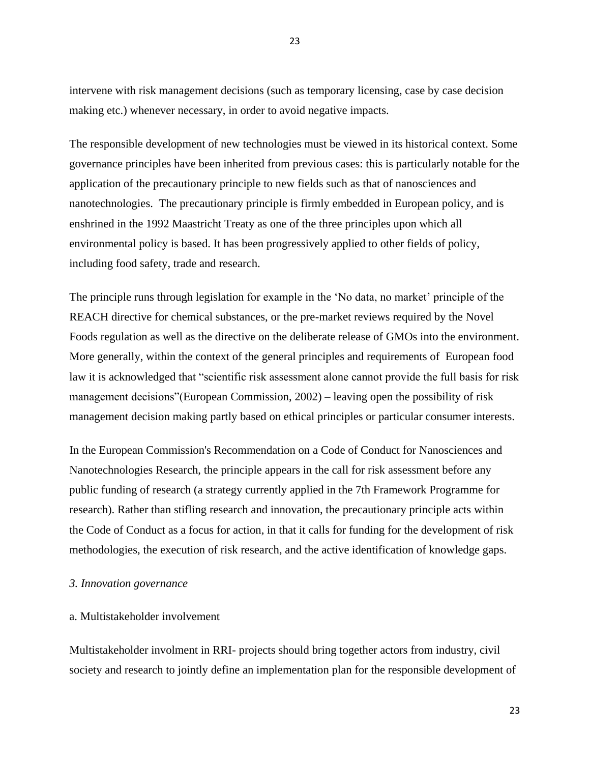intervene with risk management decisions (such as temporary licensing, case by case decision making etc.) whenever necessary, in order to avoid negative impacts.

The responsible development of new technologies must be viewed in its historical context. Some governance principles have been inherited from previous cases: this is particularly notable for the application of the precautionary principle to new fields such as that of nanosciences and nanotechnologies. The precautionary principle is firmly embedded in European policy, and is enshrined in the 1992 Maastricht Treaty as one of the three principles upon which all environmental policy is based. It has been progressively applied to other fields of policy, including food safety, trade and research.

The principle runs through legislation for example in the 'No data, no market' principle of the REACH directive for chemical substances, or the pre-market reviews required by the Novel Foods regulation as well as the directive on the deliberate release of GMOs into the environment. More generally, within the context of the general principles and requirements of European food law it is acknowledged that "scientific risk assessment alone cannot provide the full basis for risk management decisions"(European Commission, 2002) – leaving open the possibility of risk management decision making partly based on ethical principles or particular consumer interests.

In the European Commission's Recommendation on a Code of Conduct for Nanosciences and Nanotechnologies Research, the principle appears in the call for risk assessment before any public funding of research (a strategy currently applied in the 7th Framework Programme for research). Rather than stifling research and innovation, the precautionary principle acts within the Code of Conduct as a focus for action, in that it calls for funding for the development of risk methodologies, the execution of risk research, and the active identification of knowledge gaps.

#### *3. Innovation governance*

## a. Multistakeholder involvement

Multistakeholder involment in RRI- projects should bring together actors from industry, civil society and research to jointly define an implementation plan for the responsible development of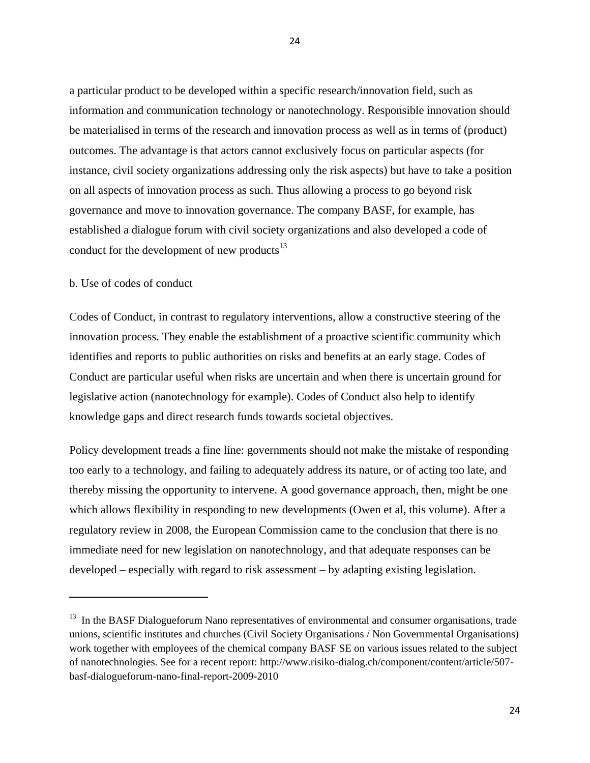a particular product to be developed within a specific research/innovation field, such as information and communication technology or nanotechnology. Responsible innovation should be materialised in terms of the research and innovation process as well as in terms of (product) outcomes. The advantage is that actors cannot exclusively focus on particular aspects (for instance, civil society organizations addressing only the risk aspects) but have to take a position on all aspects of innovation process as such. Thus allowing a process to go beyond risk governance and move to innovation governance. The company BASF, for example, has established a dialogue forum with civil society organizations and also developed a code of conduct for the development of new products $^{13}$ 

## b. Use of codes of conduct

 $\overline{\phantom{a}}$ 

Codes of Conduct, in contrast to regulatory interventions, allow a constructive steering of the innovation process. They enable the establishment of a proactive scientific community which identifies and reports to public authorities on risks and benefits at an early stage. Codes of Conduct are particular useful when risks are uncertain and when there is uncertain ground for legislative action (nanotechnology for example). Codes of Conduct also help to identify knowledge gaps and direct research funds towards societal objectives.

Policy development treads a fine line: governments should not make the mistake of responding too early to a technology, and failing to adequately address its nature, or of acting too late, and thereby missing the opportunity to intervene. A good governance approach, then, might be one which allows flexibility in responding to new developments (Owen et al, this volume). After a regulatory review in 2008, the European Commission came to the conclusion that there is no immediate need for new legislation on nanotechnology, and that adequate responses can be developed – especially with regard to risk assessment – by adapting existing legislation.

<sup>&</sup>lt;sup>13</sup> In the BASF Dialogueforum Nano representatives of environmental and consumer organisations, trade unions, scientific institutes and churches (Civil Society Organisations / Non Governmental Organisations) work together with employees of the chemical company BASF SE on various issues related to the subject of nanotechnologies. See for a recent report: http://www.risiko-dialog.ch/component/content/article/507 basf-dialogueforum-nano-final-report-2009-2010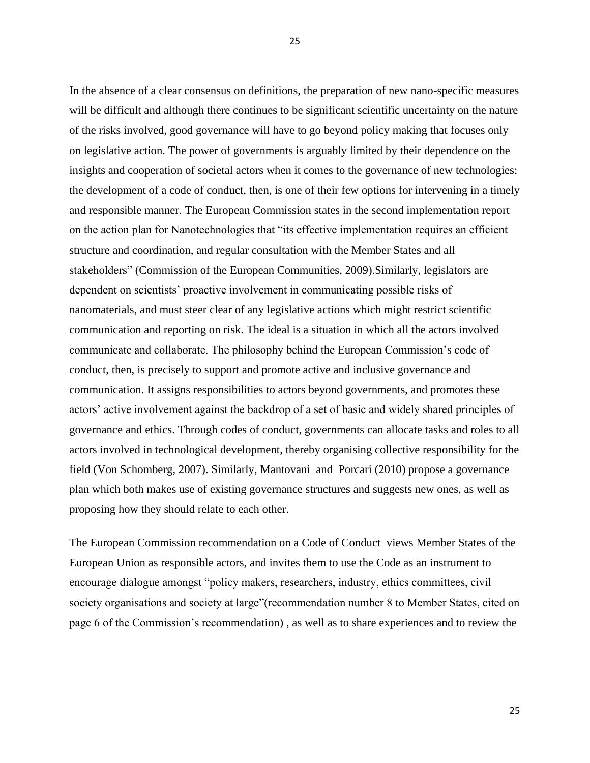In the absence of a clear consensus on definitions, the preparation of new nano-specific measures will be difficult and although there continues to be significant scientific uncertainty on the nature of the risks involved, good governance will have to go beyond policy making that focuses only on legislative action. The power of governments is arguably limited by their dependence on the insights and cooperation of societal actors when it comes to the governance of new technologies: the development of a code of conduct, then, is one of their few options for intervening in a timely and responsible manner. The European Commission states in the second implementation report on the action plan for Nanotechnologies that "its effective implementation requires an efficient structure and coordination, and regular consultation with the Member States and all stakeholders" (Commission of the European Communities, 2009).Similarly, legislators are dependent on scientists' proactive involvement in communicating possible risks of nanomaterials, and must steer clear of any legislative actions which might restrict scientific communication and reporting on risk. The ideal is a situation in which all the actors involved communicate and collaborate. The philosophy behind the European Commission's code of conduct, then, is precisely to support and promote active and inclusive governance and communication. It assigns responsibilities to actors beyond governments, and promotes these actors' active involvement against the backdrop of a set of basic and widely shared principles of governance and ethics. Through codes of conduct, governments can allocate tasks and roles to all actors involved in technological development, thereby organising collective responsibility for the field (Von Schomberg, 2007). Similarly, Mantovani and Porcari (2010) propose a governance plan which both makes use of existing governance structures and suggests new ones, as well as proposing how they should relate to each other.

The European Commission recommendation on a Code of Conduct views Member States of the European Union as responsible actors, and invites them to use the Code as an instrument to encourage dialogue amongst "policy makers, researchers, industry, ethics committees, civil society organisations and society at large"(recommendation number 8 to Member States, cited on page 6 of the Commission's recommendation) , as well as to share experiences and to review the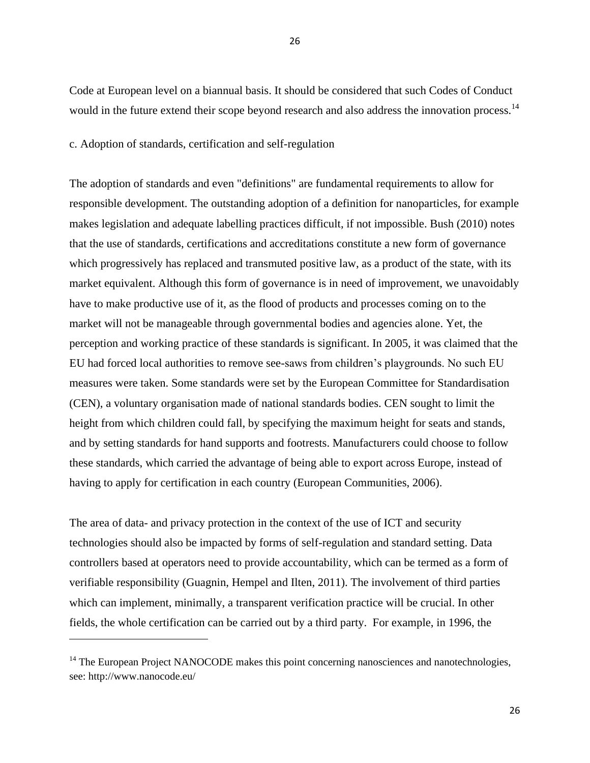Code at European level on a biannual basis. It should be considered that such Codes of Conduct would in the future extend their scope beyond research and also address the innovation process.<sup>14</sup>

c. Adoption of standards, certification and self-regulation

The adoption of standards and even "definitions" are fundamental requirements to allow for responsible development. The outstanding adoption of a definition for nanoparticles, for example makes legislation and adequate labelling practices difficult, if not impossible. Bush (2010) notes that the use of standards, certifications and accreditations constitute a new form of governance which progressively has replaced and transmuted positive law, as a product of the state, with its market equivalent. Although this form of governance is in need of improvement, we unavoidably have to make productive use of it, as the flood of products and processes coming on to the market will not be manageable through governmental bodies and agencies alone. Yet, the perception and working practice of these standards is significant. In 2005, it was claimed that the EU had forced local authorities to remove see-saws from children's playgrounds. No such EU measures were taken. Some standards were set by the European Committee for Standardisation (CEN), a voluntary organisation made of national standards bodies. CEN sought to limit the height from which children could fall, by specifying the maximum height for seats and stands, and by setting standards for hand supports and footrests. Manufacturers could choose to follow these standards, which carried the advantage of being able to export across Europe, instead of having to apply for certification in each country (European Communities, 2006).

The area of data- and privacy protection in the context of the use of ICT and security technologies should also be impacted by forms of self-regulation and standard setting. Data controllers based at operators need to provide accountability, which can be termed as a form of verifiable responsibility (Guagnin, Hempel and Ilten, 2011). The involvement of third parties which can implement, minimally, a transparent verification practice will be crucial. In other fields, the whole certification can be carried out by a third party. For example, in 1996, the

 $\overline{a}$ 

 $14$  The European Project NANOCODE makes this point concerning nanosciences and nanotechnologies, see: http://www.nanocode.eu/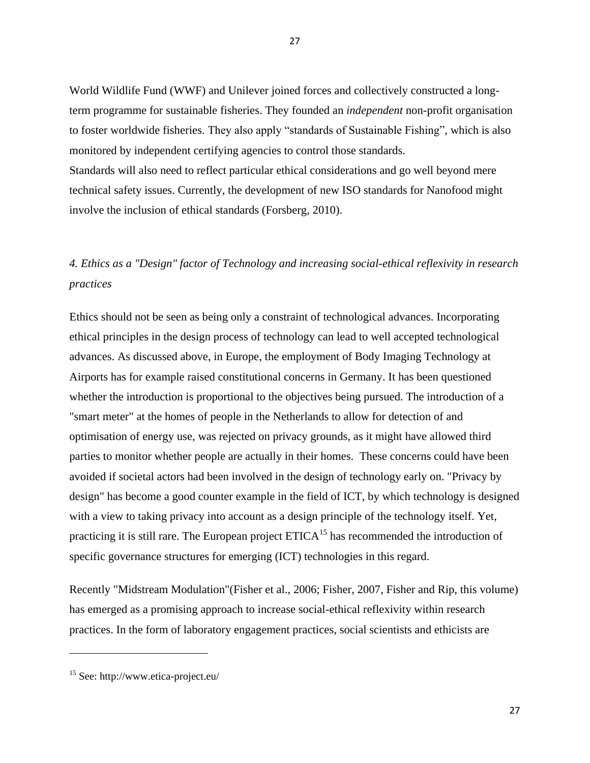World Wildlife Fund (WWF) and Unilever joined forces and collectively constructed a longterm programme for sustainable fisheries. They founded an *independent* non-profit organisation to foster worldwide fisheries. They also apply "standards of Sustainable Fishing", which is also monitored by independent certifying agencies to control those standards. Standards will also need to reflect particular ethical considerations and go well beyond mere technical safety issues. Currently, the development of new ISO standards for Nanofood might

involve the inclusion of ethical standards (Forsberg, 2010).

# *4. Ethics as a "Design" factor of Technology and increasing social-ethical reflexivity in research practices*

Ethics should not be seen as being only a constraint of technological advances. Incorporating ethical principles in the design process of technology can lead to well accepted technological advances. As discussed above, in Europe, the employment of Body Imaging Technology at Airports has for example raised constitutional concerns in Germany. It has been questioned whether the introduction is proportional to the objectives being pursued. The introduction of a "smart meter" at the homes of people in the Netherlands to allow for detection of and optimisation of energy use, was rejected on privacy grounds, as it might have allowed third parties to monitor whether people are actually in their homes. These concerns could have been avoided if societal actors had been involved in the design of technology early on. "Privacy by design" has become a good counter example in the field of ICT, by which technology is designed with a view to taking privacy into account as a design principle of the technology itself. Yet, practicing it is still rare. The European project  $ETICA<sup>15</sup>$  has recommended the introduction of specific governance structures for emerging (ICT) technologies in this regard.

Recently "Midstream Modulation"(Fisher et al., 2006; Fisher, 2007, Fisher and Rip, this volume) has emerged as a promising approach to increase social-ethical reflexivity within research practices. In the form of laboratory engagement practices, social scientists and ethicists are

 $\overline{\phantom{a}}$ 

<sup>15</sup> See: http://www.etica-project.eu/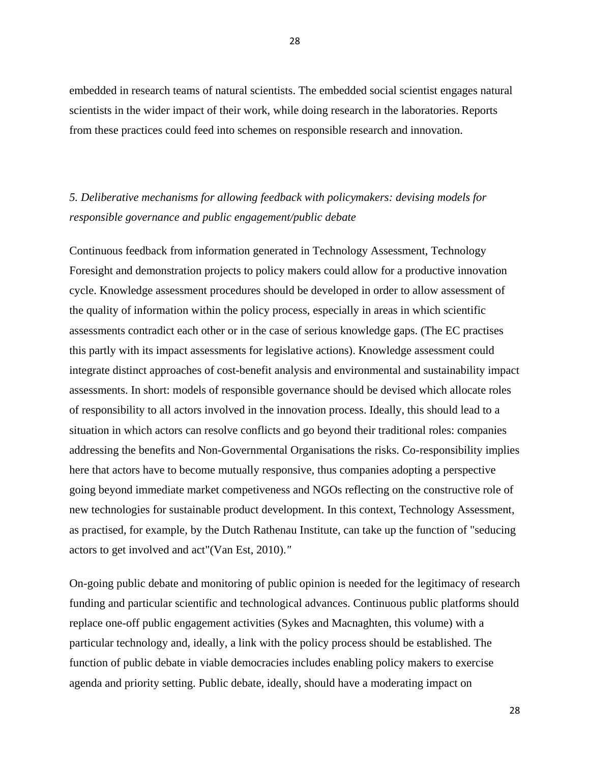embedded in research teams of natural scientists. The embedded social scientist engages natural scientists in the wider impact of their work, while doing research in the laboratories. Reports from these practices could feed into schemes on responsible research and innovation.

# *5. Deliberative mechanisms for allowing feedback with policymakers: devising models for responsible governance and public engagement/public debate*

Continuous feedback from information generated in Technology Assessment, Technology Foresight and demonstration projects to policy makers could allow for a productive innovation cycle. Knowledge assessment procedures should be developed in order to allow assessment of the quality of information within the policy process, especially in areas in which scientific assessments contradict each other or in the case of serious knowledge gaps. (The EC practises this partly with its impact assessments for legislative actions). Knowledge assessment could integrate distinct approaches of cost-benefit analysis and environmental and sustainability impact assessments. In short: models of responsible governance should be devised which allocate roles of responsibility to all actors involved in the innovation process. Ideally, this should lead to a situation in which actors can resolve conflicts and go beyond their traditional roles: companies addressing the benefits and Non-Governmental Organisations the risks. Co-responsibility implies here that actors have to become mutually responsive, thus companies adopting a perspective going beyond immediate market competiveness and NGOs reflecting on the constructive role of new technologies for sustainable product development. In this context, Technology Assessment, as practised, for example, by the Dutch Rathenau Institute, can take up the function of "seducing actors to get involved and act"(Van Est, 2010).*"*

On-going public debate and monitoring of public opinion is needed for the legitimacy of research funding and particular scientific and technological advances. Continuous public platforms should replace one-off public engagement activities (Sykes and Macnaghten, this volume) with a particular technology and, ideally, a link with the policy process should be established. The function of public debate in viable democracies includes enabling policy makers to exercise agenda and priority setting. Public debate, ideally, should have a moderating impact on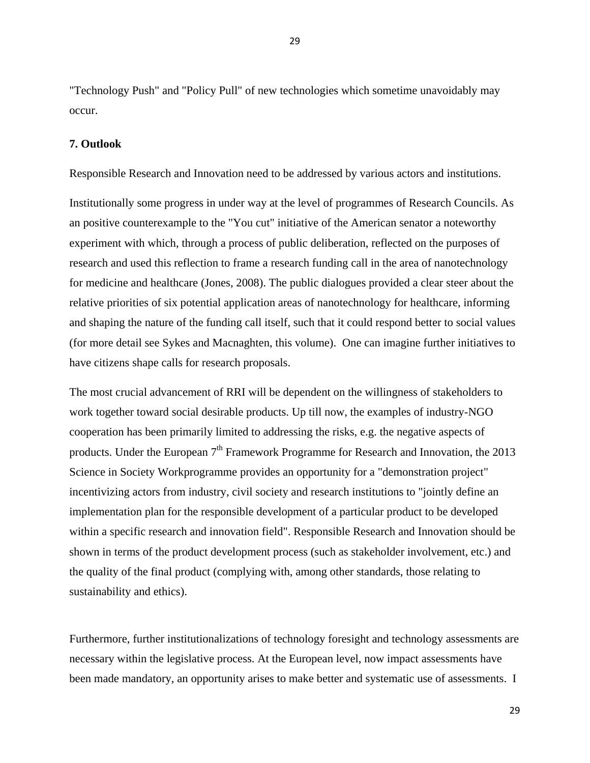"Technology Push" and "Policy Pull" of new technologies which sometime unavoidably may occur.

## **7. Outlook**

Responsible Research and Innovation need to be addressed by various actors and institutions.

Institutionally some progress in under way at the level of programmes of Research Councils. As an positive counterexample to the "You cut" initiative of the American senator a noteworthy experiment with which, through a process of public deliberation, reflected on the purposes of research and used this reflection to frame a research funding call in the area of nanotechnology for medicine and healthcare (Jones, 2008). The public dialogues provided a clear steer about the relative priorities of six potential application areas of nanotechnology for healthcare, informing and shaping the nature of the funding call itself, such that it could respond better to social values (for more detail see Sykes and Macnaghten, this volume). One can imagine further initiatives to have citizens shape calls for research proposals.

The most crucial advancement of RRI will be dependent on the willingness of stakeholders to work together toward social desirable products. Up till now, the examples of industry-NGO cooperation has been primarily limited to addressing the risks, e.g. the negative aspects of products. Under the European  $7<sup>th</sup>$  Framework Programme for Research and Innovation, the 2013 Science in Society Workprogramme provides an opportunity for a "demonstration project" incentivizing actors from industry, civil society and research institutions to "jointly define an implementation plan for the responsible development of a particular product to be developed within a specific research and innovation field". Responsible Research and Innovation should be shown in terms of the product development process (such as stakeholder involvement, etc.) and the quality of the final product (complying with, among other standards, those relating to sustainability and ethics).

Furthermore, further institutionalizations of technology foresight and technology assessments are necessary within the legislative process. At the European level, now impact assessments have been made mandatory, an opportunity arises to make better and systematic use of assessments. I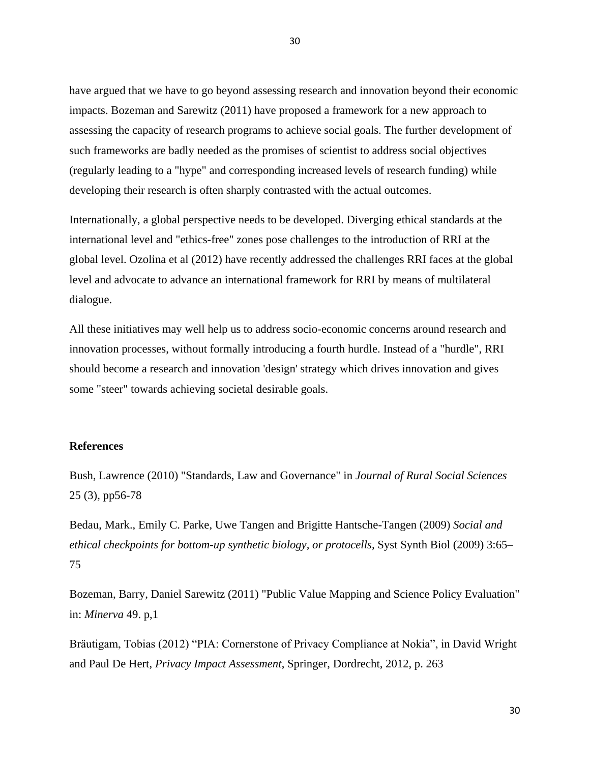have argued that we have to go beyond assessing research and innovation beyond their economic impacts. Bozeman and Sarewitz (2011) have proposed a framework for a new approach to assessing the capacity of research programs to achieve social goals. The further development of such frameworks are badly needed as the promises of scientist to address social objectives (regularly leading to a "hype" and corresponding increased levels of research funding) while developing their research is often sharply contrasted with the actual outcomes.

Internationally, a global perspective needs to be developed. Diverging ethical standards at the international level and "ethics-free" zones pose challenges to the introduction of RRI at the global level. Ozolina et al (2012) have recently addressed the challenges RRI faces at the global level and advocate to advance an international framework for RRI by means of multilateral dialogue.

All these initiatives may well help us to address socio-economic concerns around research and innovation processes, without formally introducing a fourth hurdle. Instead of a "hurdle", RRI should become a research and innovation 'design' strategy which drives innovation and gives some "steer" towards achieving societal desirable goals.

## **References**

Bush, Lawrence (2010) "Standards, Law and Governance" in *Journal of Rural Social Sciences* 25 (3), pp56-78

Bedau, Mark., Emily C. Parke, Uwe Tangen and Brigitte Hantsche-Tangen (2009) *Social and ethical checkpoints for bottom-up synthetic biology, or protocells,* Syst Synth Biol (2009) 3:65– 75

Bozeman, Barry, Daniel Sarewitz (2011) "Public Value Mapping and Science Policy Evaluation" in: *Minerva* 49. p,1

Bräutigam, Tobias (2012) "PIA: Cornerstone of Privacy Compliance at Nokia", in David Wright and Paul De Hert, *Privacy Impact Assessment*, Springer, Dordrecht, 2012, p. 263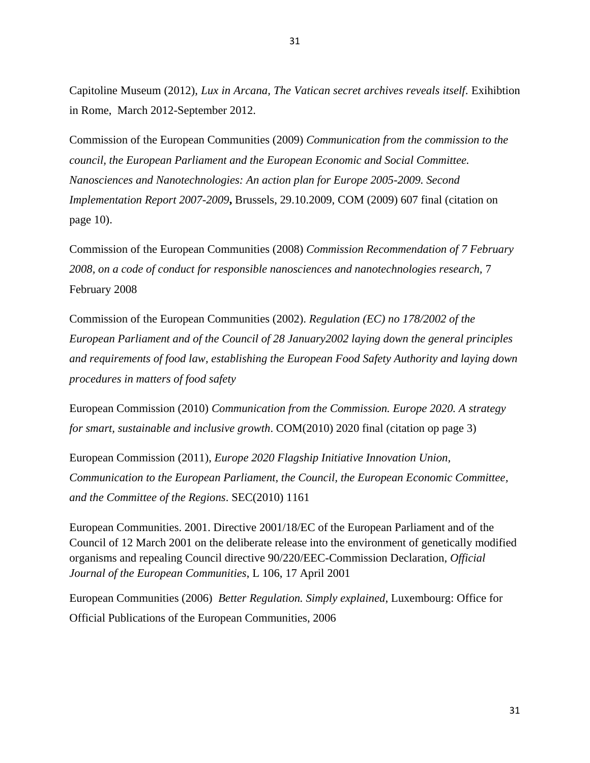Capitoline Museum (2012), *Lux in Arcana, The Vatican secret archives reveals itself*. Exihibtion in Rome, March 2012-September 2012.

Commission of the European Communities (2009) *Communication from the commission to the council, the European Parliament and the European Economic and Social Committee. Nanosciences and Nanotechnologies: An action plan for Europe 2005-2009. Second Implementation Report 2007-2009***,** Brussels, 29.10.2009, COM (2009) 607 final (citation on page 10).

Commission of the European Communities (2008) *Commission Recommendation of 7 February 2008, on a code of conduct for responsible nanosciences and nanotechnologies research,* 7 February 2008

Commission of the European Communities (2002). *Regulation (EC) no 178/2002 of the European Parliament and of the Council of 28 January2002 laying down the general principles and requirements of food law, establishing the European Food Safety Authority and laying down procedures in matters of food safety*

European Commission (2010) *Communication from the Commission. Europe 2020. A strategy for smart, sustainable and inclusive growth*. COM(2010) 2020 final (citation op page 3)

European Commission (2011), *Europe 2020 Flagship Initiative Innovation Union, Communication to the European Parliament, the Council, the European Economic Committee, and the Committee of the Regions*. SEC(2010) 1161

European Communities. 2001. Directive 2001/18/EC of the European Parliament and of the Council of 12 March 2001 on the deliberate release into the environment of genetically modified organisms and repealing Council directive 90/220/EEC-Commission Declaration, *Official Journal of the European Communities*, L 106, 17 April 2001

European Communities (2006) *Better Regulation. Simply explained*, Luxembourg: Office for Official Publications of the European Communities, 2006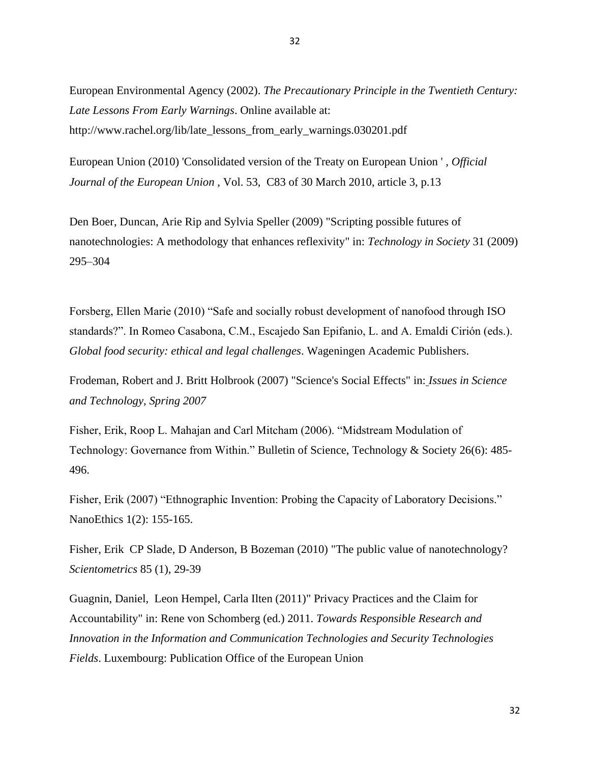European Environmental Agency (2002). *The Precautionary Principle in the Twentieth Century: Late Lessons From Early Warnings*. Online available at: http://www.rachel.org/lib/late\_lessons\_from\_early\_warnings.030201.pdf

European Union (2010) 'Consolidated version of the Treaty on European Union ' , *Official Journal of the European Union* , Vol. 53, C83 of 30 March 2010, article 3, p.13

Den Boer, Duncan, Arie Rip and Sylvia Speller (2009) "Scripting possible futures of nanotechnologies: A methodology that enhances reflexivity" in: *Technology in Society* 31 (2009) 295–304

Forsberg, Ellen Marie (2010) "Safe and socially robust development of nanofood through ISO standards?". In Romeo Casabona, C.M., Escajedo San Epifanio, L. and A. Emaldi Cirión (eds.). *Global food security: ethical and legal challenges*. Wageningen Academic Publishers.

Frodeman, Robert and J. Britt Holbrook (2007) ["Science's Social Effects"](http://csid.unt.edu/files/FrodemanHolbrook%20IST.pdf) in: *Issues in Science and Technology, Spring 2007*

Fisher, Erik, Roop L. Mahajan and Carl Mitcham (2006). "Midstream Modulation of Technology: Governance from Within." Bulletin of Science, Technology & Society 26(6): 485- 496.

Fisher, Erik (2007) "Ethnographic Invention: Probing the Capacity of Laboratory Decisions." NanoEthics 1(2): 155-165.

Fisher, Erik CP Slade, D Anderson, B Bozeman (2010) ["The public value of nanotechnology?](http://scholar.google.be/citations?view_op=view_citation&hl=fr&user=Fx72qJ4AAAAJ&cstart=20&citation_for_view=Fx72qJ4AAAAJ:W7OEmFMy1HYC) *Scientometrics* 85 (1), 29-39

Guagnin, Daniel, Leon Hempel, Carla Ilten (2011)" Privacy Practices and the Claim for Accountability" in: Rene von Schomberg (ed.) 2011. *Towards Responsible Research and Innovation in the Information and Communication Technologies and Security Technologies Fields*. Luxembourg: Publication Office of the European Union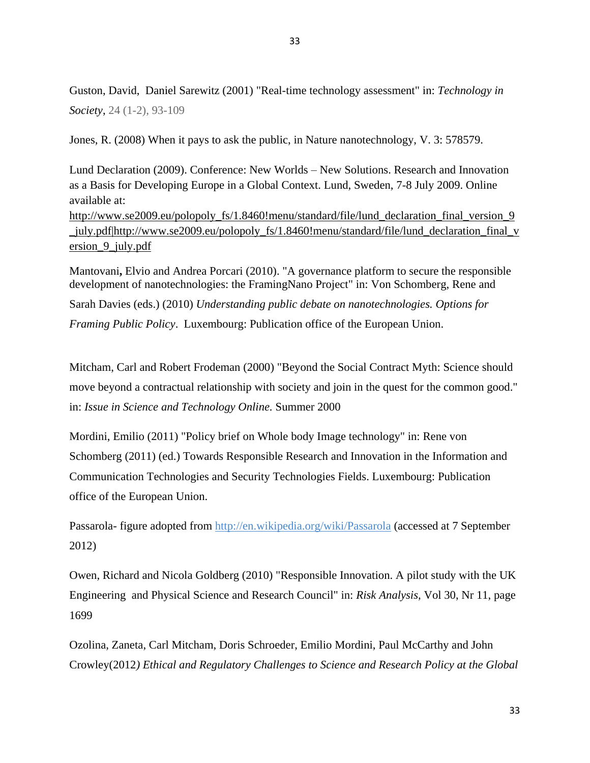Guston, David, Daniel Sarewitz (2001) "Real-time technology assessment" in: *Technology in Society*, 24 (1-2), 93-109

Jones, R. (2008) When it pays to ask the public, in Nature nanotechnology, V. 3: 578579.

Lund Declaration (2009). Conference: New Worlds – New Solutions. Research and Innovation as a Basis for Developing Europe in a Global Context. Lund, Sweden, 7-8 July 2009. Online available at:

[http://www.se2009.eu/polopoly\\_fs/1.8460!menu/standard/file/lund\\_declaration\\_final\\_version\\_9](http://www.se2009.eu/polopoly_fs/1.8460!menu/standard/file/lund_declaration_final_version_9_july.pdf|http:/www.se2009.eu/polopoly_fs/1.8460!menu/standard/file/lund_declaration_final_version_9_july.pdf) [\\_july.pdf|http://www.se2009.eu/polopoly\\_fs/1.8460!menu/standard/file/lund\\_declaration\\_final\\_v](http://www.se2009.eu/polopoly_fs/1.8460!menu/standard/file/lund_declaration_final_version_9_july.pdf|http:/www.se2009.eu/polopoly_fs/1.8460!menu/standard/file/lund_declaration_final_version_9_july.pdf) [ersion\\_9\\_july.pdf](http://www.se2009.eu/polopoly_fs/1.8460!menu/standard/file/lund_declaration_final_version_9_july.pdf|http:/www.se2009.eu/polopoly_fs/1.8460!menu/standard/file/lund_declaration_final_version_9_july.pdf)

Mantovani**,** Elvio and Andrea Porcari (2010). "A governance platform to secure the responsible development of nanotechnologies: the FramingNano Project" in: Von Schomberg, Rene and Sarah Davies (eds.) (2010) *Understanding public debate on nanotechnologies. Options for Framing Public Policy*. Luxembourg: Publication office of the European Union.

Mitcham, Carl and Robert Frodeman (2000) "Beyond the Social Contract Myth: Science should move beyond a contractual relationship with society and join in the quest for the common good." in: *Issue in Science and Technology Online.* Summer 2000

Mordini, Emilio (2011) "Policy brief on Whole body Image technology" in: Rene von Schomberg (2011) (ed.) [Towards Responsible Research and Innovation in the Information and](http://scholar.google.com/scholar?cluster=15893146409445274068&hl=en&oi=scholarr)  [Communication Technologies and Security Technologies Fields.](http://scholar.google.com/scholar?cluster=15893146409445274068&hl=en&oi=scholarr) Luxembourg: Publication office of the European Union.

Passarola- figure adopted from<http://en.wikipedia.org/wiki/Passarola> (accessed at 7 September 2012)

Owen, Richard and Nicola Goldberg (2010) "Responsible Innovation. A pilot study with the UK Engineering and Physical Science and Research Council" in: *Risk Analysis*, Vol 30, Nr 11, page 1699

Ozolina, Zaneta, Carl Mitcham, Doris Schroeder, Emilio Mordini, Paul McCarthy and John Crowley(2012*) Ethical and Regulatory Challenges to Science and Research Policy at the Global*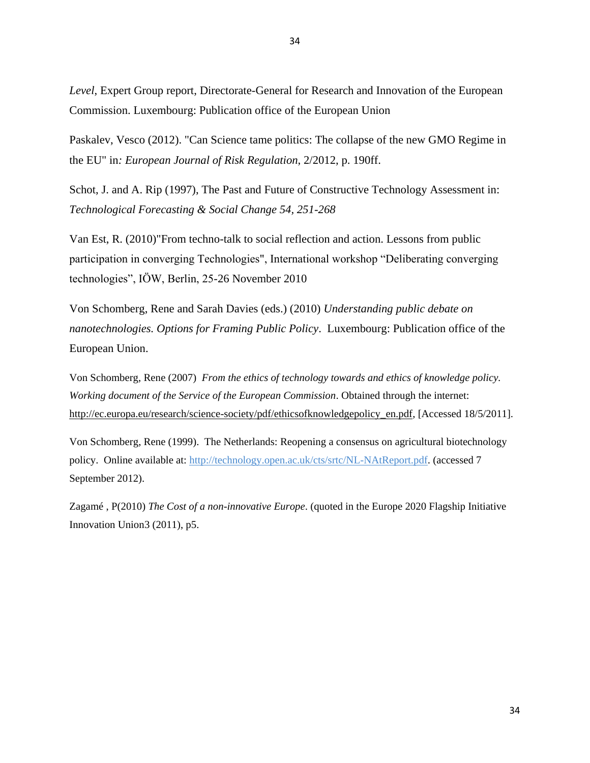*Level*, Expert Group report, Directorate-General for Research and Innovation of the European Commission. Luxembourg: Publication office of the European Union

Paskalev, Vesco (2012). "Can Science tame politics: The collapse of the new GMO Regime in the EU" in*: European Journal of Risk Regulation*, 2/2012, p. 190ff.

Schot, J. and A. Rip (1997), The Past and Future of Constructive Technology Assessment in: *Technological Forecasting & Social Change 54, 251-268*

Van Est, R. (2010)"From techno-talk to social reflection and action. Lessons from public participation in converging Technologies", International workshop "Deliberating converging technologies", IÖW, Berlin, 25-26 November 2010

Von Schomberg, Rene and Sarah Davies (eds.) (2010) *Understanding public debate on nanotechnologies. Options for Framing Public Policy*. Luxembourg: Publication office of the European Union.

Von Schomberg, Rene (2007) *From the ethics of technology towards and ethics of knowledge policy. Working document of the Service of the European Commission*. Obtained through the internet: [http://ec.europa.eu/research/science-society/pdf/ethicsofknowledgepolicy\\_en.pdf,](http://ec.europa.eu/research/science-society/pdf/ethicsofknowledgepolicy_en.pdf) [Accessed 18/5/2011].

Von Schomberg, Rene (1999). The Netherlands: Reopening a consensus on agricultural biotechnology policy. Online available at: [http://technology.open.ac.uk/cts/srtc/NL-NAtReport.pdf.](http://technology.open.ac.uk/cts/srtc/NL-NAtReport.pdf) (accessed 7 September 2012).

Zagamé , P(2010) *The Cost of a non-innovative Europe*. (quoted in the Europe 2020 Flagship Initiative Innovation Union3 (2011), p5.